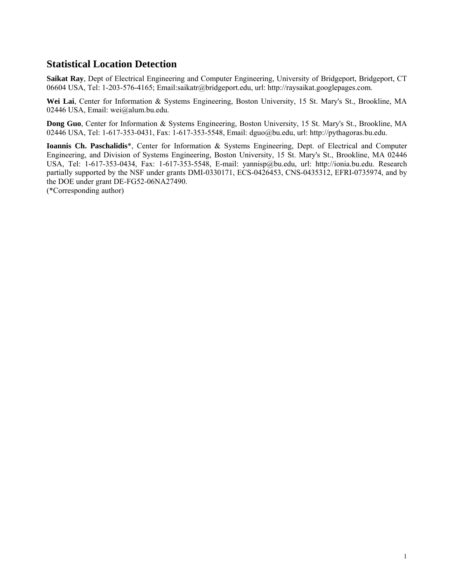# **Statistical Location Detection**

**Saikat Ray**, Dept of Electrical Engineering and Computer Engineering, University of Bridgeport, Bridgeport, CT 06604 USA, Tel: 1-203-576-4165; Email:saikatr@bridgeport.edu, url: http://raysaikat.googlepages.com.

**Wei Lai**, Center for Information & Systems Engineering, Boston University, 15 St. Mary's St., Brookline, MA 02446 USA, Email: wei@alum.bu.edu.

**Dong Guo**, Center for Information & Systems Engineering, Boston University, 15 St. Mary's St., Brookline, MA 02446 USA, Tel: 1-617-353-0431, Fax: 1-617-353-5548, Email: dguo@bu.edu, url: http://pythagoras.bu.edu.

**Ioannis Ch. Paschalidis**\*, Center for Information & Systems Engineering, Dept. of Electrical and Computer Engineering, and Division of Systems Engineering, Boston University, 15 St. Mary's St., Brookline, MA 02446 USA, Tel: 1-617-353-0434, Fax: 1-617-353-5548, E-mail: yannisp@bu.edu, url: http://ionia.bu.edu. Research partially supported by the NSF under grants DMI-0330171, ECS-0426453, CNS-0435312, EFRI-0735974, and by the DOE under grant DE-FG52-06NA27490.

(\*Corresponding author)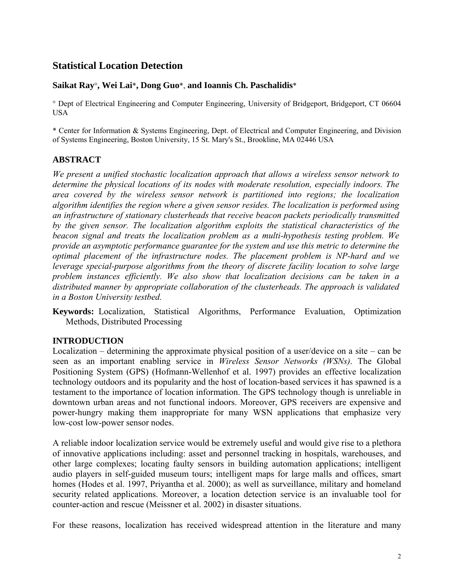# **Statistical Location Detection**

## **Saikat Ray**°**, Wei Lai**\***, Dong Guo**\*, **and Ioannis Ch. Paschalidis**\*

° Dept of Electrical Engineering and Computer Engineering, University of Bridgeport, Bridgeport, CT 06604 USA

\* Center for Information & Systems Engineering, Dept. of Electrical and Computer Engineering, and Division of Systems Engineering, Boston University, 15 St. Mary's St., Brookline, MA 02446 USA

## **ABSTRACT**

*We present a unified stochastic localization approach that allows a wireless sensor network to determine the physical locations of its nodes with moderate resolution, especially indoors. The area covered by the wireless sensor network is partitioned into regions; the localization algorithm identifies the region where a given sensor resides. The localization is performed using an infrastructure of stationary clusterheads that receive beacon packets periodically transmitted by the given sensor. The localization algorithm exploits the statistical characteristics of the beacon signal and treats the localization problem as a multi-hypothesis testing problem. We provide an asymptotic performance guarantee for the system and use this metric to determine the optimal placement of the infrastructure nodes. The placement problem is NP-hard and we leverage special-purpose algorithms from the theory of discrete facility location to solve large problem instances efficiently. We also show that localization decisions can be taken in a distributed manner by appropriate collaboration of the clusterheads. The approach is validated in a Boston University testbed.* 

**Keywords:** Localization, Statistical Algorithms, Performance Evaluation, Optimization Methods, Distributed Processing

### **INTRODUCTION**

Localization – determining the approximate physical position of a user/device on a site – can be seen as an important enabling service in *Wireless Sensor Networks (WSNs)*. The Global Positioning System (GPS) (Hofmann-Wellenhof et al. 1997) provides an effective localization technology outdoors and its popularity and the host of location-based services it has spawned is a testament to the importance of location information. The GPS technology though is unreliable in downtown urban areas and not functional indoors. Moreover, GPS receivers are expensive and power-hungry making them inappropriate for many WSN applications that emphasize very low-cost low-power sensor nodes.

A reliable indoor localization service would be extremely useful and would give rise to a plethora of innovative applications including: asset and personnel tracking in hospitals, warehouses, and other large complexes; locating faulty sensors in building automation applications; intelligent audio players in self-guided museum tours; intelligent maps for large malls and offices, smart homes (Hodes et al. 1997, Priyantha et al. 2000); as well as surveillance, military and homeland security related applications. Moreover, a location detection service is an invaluable tool for counter-action and rescue (Meissner et al. 2002) in disaster situations.

For these reasons, localization has received widespread attention in the literature and many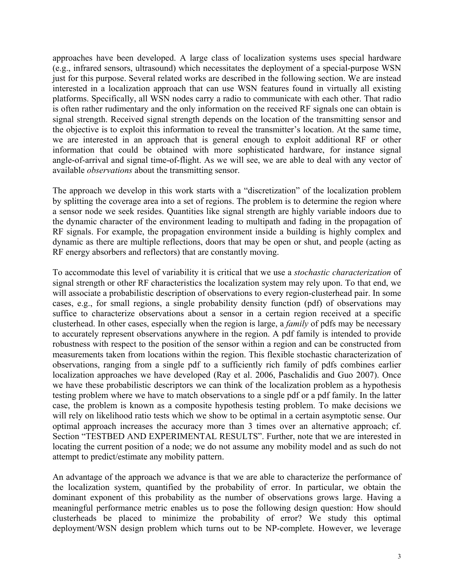approaches have been developed. A large class of localization systems uses special hardware (e.g., infrared sensors, ultrasound) which necessitates the deployment of a special-purpose WSN just for this purpose. Several related works are described in the following section. We are instead interested in a localization approach that can use WSN features found in virtually all existing platforms. Specifically, all WSN nodes carry a radio to communicate with each other. That radio is often rather rudimentary and the only information on the received RF signals one can obtain is signal strength. Received signal strength depends on the location of the transmitting sensor and the objective is to exploit this information to reveal the transmitter's location. At the same time, we are interested in an approach that is general enough to exploit additional RF or other information that could be obtained with more sophisticated hardware, for instance signal angle-of-arrival and signal time-of-flight. As we will see, we are able to deal with any vector of available *observations* about the transmitting sensor.

The approach we develop in this work starts with a "discretization" of the localization problem by splitting the coverage area into a set of regions. The problem is to determine the region where a sensor node we seek resides. Quantities like signal strength are highly variable indoors due to the dynamic character of the environment leading to multipath and fading in the propagation of RF signals. For example, the propagation environment inside a building is highly complex and dynamic as there are multiple reflections, doors that may be open or shut, and people (acting as RF energy absorbers and reflectors) that are constantly moving.

To accommodate this level of variability it is critical that we use a *stochastic characterization* of signal strength or other RF characteristics the localization system may rely upon. To that end, we will associate a probabilistic description of observations to every region-clusterhead pair. In some cases, e.g., for small regions, a single probability density function (pdf) of observations may suffice to characterize observations about a sensor in a certain region received at a specific clusterhead. In other cases, especially when the region is large, a *family* of pdfs may be necessary to accurately represent observations anywhere in the region. A pdf family is intended to provide robustness with respect to the position of the sensor within a region and can be constructed from measurements taken from locations within the region. This flexible stochastic characterization of observations, ranging from a single pdf to a sufficiently rich family of pdfs combines earlier localization approaches we have developed (Ray et al. 2006, Paschalidis and Guo 2007). Once we have these probabilistic descriptors we can think of the localization problem as a hypothesis testing problem where we have to match observations to a single pdf or a pdf family. In the latter case, the problem is known as a composite hypothesis testing problem. To make decisions we will rely on likelihood ratio tests which we show to be optimal in a certain asymptotic sense. Our optimal approach increases the accuracy more than 3 times over an alternative approach; cf. Section "TESTBED AND EXPERIMENTAL RESULTS". Further, note that we are interested in locating the current position of a node; we do not assume any mobility model and as such do not attempt to predict/estimate any mobility pattern.

An advantage of the approach we advance is that we are able to characterize the performance of the localization system, quantified by the probability of error. In particular, we obtain the dominant exponent of this probability as the number of observations grows large. Having a meaningful performance metric enables us to pose the following design question: How should clusterheads be placed to minimize the probability of error? We study this optimal deployment/WSN design problem which turns out to be NP-complete. However, we leverage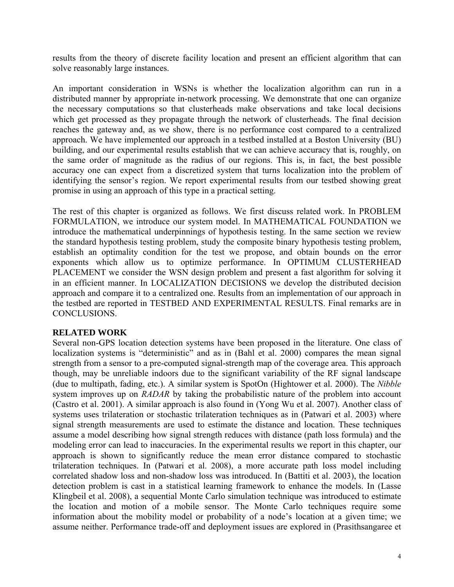results from the theory of discrete facility location and present an efficient algorithm that can solve reasonably large instances.

An important consideration in WSNs is whether the localization algorithm can run in a distributed manner by appropriate in-network processing. We demonstrate that one can organize the necessary computations so that clusterheads make observations and take local decisions which get processed as they propagate through the network of clusterheads. The final decision reaches the gateway and, as we show, there is no performance cost compared to a centralized approach. We have implemented our approach in a testbed installed at a Boston University (BU) building, and our experimental results establish that we can achieve accuracy that is, roughly, on the same order of magnitude as the radius of our regions. This is, in fact, the best possible accuracy one can expect from a discretized system that turns localization into the problem of identifying the sensor's region. We report experimental results from our testbed showing great promise in using an approach of this type in a practical setting.

The rest of this chapter is organized as follows. We first discuss related work. In PROBLEM FORMULATION, we introduce our system model. In MATHEMATICAL FOUNDATION we introduce the mathematical underpinnings of hypothesis testing. In the same section we review the standard hypothesis testing problem, study the composite binary hypothesis testing problem, establish an optimality condition for the test we propose, and obtain bounds on the error exponents which allow us to optimize performance. In OPTIMUM CLUSTERHEAD PLACEMENT we consider the WSN design problem and present a fast algorithm for solving it in an efficient manner. In LOCALIZATION DECISIONS we develop the distributed decision approach and compare it to a centralized one. Results from an implementation of our approach in the testbed are reported in TESTBED AND EXPERIMENTAL RESULTS. Final remarks are in CONCLUSIONS.

## **RELATED WORK**

Several non-GPS location detection systems have been proposed in the literature. One class of localization systems is "deterministic" and as in (Bahl et al. 2000) compares the mean signal strength from a sensor to a pre-computed signal-strength map of the coverage area. This approach though, may be unreliable indoors due to the significant variability of the RF signal landscape (due to multipath, fading, etc.). A similar system is SpotOn (Hightower et al. 2000). The *Nibble*  system improves up on *RADAR* by taking the probabilistic nature of the problem into account (Castro et al. 2001). A similar approach is also found in (Yong Wu et al. 2007). Another class of systems uses trilateration or stochastic trilateration techniques as in (Patwari et al. 2003) where signal strength measurements are used to estimate the distance and location. These techniques assume a model describing how signal strength reduces with distance (path loss formula) and the modeling error can lead to inaccuracies. In the experimental results we report in this chapter, our approach is shown to significantly reduce the mean error distance compared to stochastic trilateration techniques. In (Patwari et al. 2008), a more accurate path loss model including correlated shadow loss and non-shadow loss was introduced. In (Battiti et al. 2003), the location detection problem is cast in a statistical learning framework to enhance the models. In (Lasse Klingbeil et al. 2008), a sequential Monte Carlo simulation technique was introduced to estimate the location and motion of a mobile sensor. The Monte Carlo techniques require some information about the mobility model or probability of a node's location at a given time; we assume neither. Performance trade-off and deployment issues are explored in (Prasithsangaree et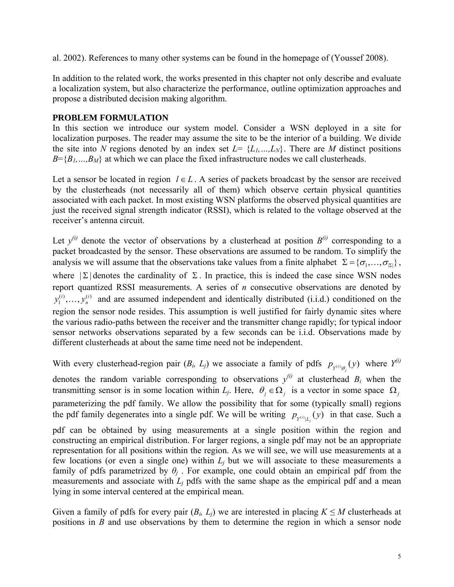al. 2002). References to many other systems can be found in the homepage of (Youssef 2008).

In addition to the related work, the works presented in this chapter not only describe and evaluate a localization system, but also characterize the performance, outline optimization approaches and propose a distributed decision making algorithm.

## **PROBLEM FORMULATION**

In this section we introduce our system model. Consider a WSN deployed in a site for localization purposes. The reader may assume the site to be the interior of a building. We divide the site into *N* regions denoted by an index set  $L = \{L_1, ..., L_N\}$ . There are *M* distinct positions  $B = \{B_1, \ldots, B_M\}$  at which we can place the fixed infrastructure nodes we call clusterheads.

Let a sensor be located in region  $l \in L$ . A series of packets broadcast by the sensor are received by the clusterheads (not necessarily all of them) which observe certain physical quantities associated with each packet. In most existing WSN platforms the observed physical quantities are just the received signal strength indicator (RSSI), which is related to the voltage observed at the receiver's antenna circuit.

Let  $y^{(i)}$  denote the vector of observations by a clusterhead at position  $B^{(i)}$  corresponding to a packet broadcasted by the sensor. These observations are assumed to be random. To simplify the analysis we will assume that the observations take values from a finite alphabet  $\Sigma = {\sigma_1, ..., \sigma_{\vert \Sigma \vert}}$ , where  $|\Sigma|$  denotes the cardinality of  $\Sigma$ . In practice, this is indeed the case since WSN nodes report quantized RSSI measurements. A series of *n* consecutive observations are denoted by  $y_1^{(i)},..., y_n^{(i)}$  and are assumed independent and identically distributed (i.i.d.) conditioned on the region the sensor node resides. This assumption is well justified for fairly dynamic sites where the various radio-paths between the receiver and the transmitter change rapidly; for typical indoor sensor networks observations separated by a few seconds can be i.i.d. Observations made by different clusterheads at about the same time need not be independent.

With every clusterhead-region pair  $(B_i, L_j)$  we associate a family of pdfs  $p_{Y^{(i)}|\theta_j}(y)$  where  $Y^{(i)}$ denotes the random variable corresponding to observations  $y^{(i)}$  at clusterhead  $B_i$  when the transmitting sensor is in some location within *L<sub>j</sub>*. Here,  $\theta_i \in \Omega_i$  is a vector in some space  $\Omega_i$ parameterizing the pdf family. We allow the possibility that for some (typically small) regions the pdf family degenerates into a single pdf. We will be writing  $p_{y^{(i)}|L_j}(y)$  in that case. Such a

pdf can be obtained by using measurements at a single position within the region and constructing an empirical distribution. For larger regions, a single pdf may not be an appropriate representation for all positions within the region. As we will see, we will use measurements at a few locations (or even a single one) within  $L_i$  but we will associate to these measurements a family of pdfs parametrized by  $\theta$ <sup>*j*</sup>. For example, one could obtain an empirical pdf from the measurements and associate with  $L<sub>i</sub>$  pdfs with the same shape as the empirical pdf and a mean lying in some interval centered at the empirical mean.

Given a family of pdfs for every pair  $(B_i, L_i)$  we are interested in placing  $K \leq M$  clusterheads at positions in *B* and use observations by them to determine the region in which a sensor node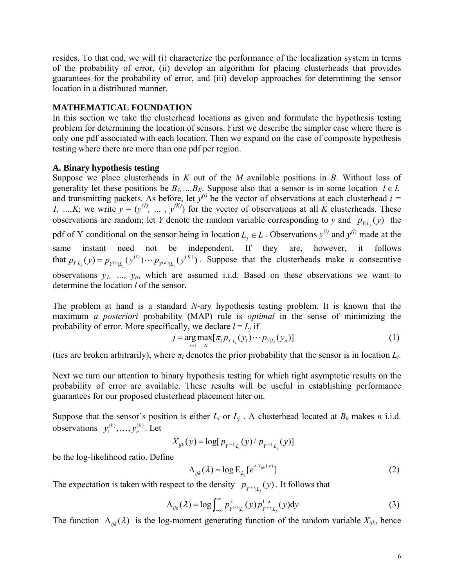resides. To that end, we will (i) characterize the performance of the localization system in terms of the probability of error, (ii) develop an algorithm for placing clusterheads that provides guarantees for the probability of error, and (iii) develop approaches for determining the sensor location in a distributed manner.

## **MATHEMATICAL FOUNDATION**

In this section we take the clusterhead locations as given and formulate the hypothesis testing problem for determining the location of sensors. First we describe the simpler case where there is only one pdf associated with each location. Then we expand on the case of composite hypothesis testing where there are more than one pdf per region.

### **A. Binary hypothesis testing**

Suppose we place clusterheads in *K* out of the *M* available positions in *B*. Without loss of generality let these positions be  $B_1$ , ...,  $B_K$ . Suppose also that a sensor is in some location  $l \in L$ and transmitting packets. As before, let  $y^{(i)}$  be the vector of observations at each clusterhead  $i =$ *1, …,K*; we write  $y = (y^{(1)}, ..., y^{(K)})$  for the vector of observations at all *K* clusterheads. These observations are random; let *Y* denote the random variable corresponding to *y* and  $p_{y|L}(y)$  the pdf of Y conditional on the sensor being in location  $L_j \in L$ . Observations  $y^{(i)}$  and  $y^{(j)}$  made at the same instant need not be independent. If they are, however, it follows that  $p_{Y|L_j}(y) = p_{Y^{(1)}|L_j}(y^{(1)}) \cdots p_{Y^{(K)}|L_j}(y^{(K)})$ . Suppose that the clusterheads make *n* consecutive observations  $y_1$ , ...,  $y_n$ , which are assumed i.i.d. Based on these observations we want to determine the location *l* of the sensor.

The problem at hand is a standard *N*-ary hypothesis testing problem. It is known that the maximum *a posteriori* probability (MAP) rule is *optimal* in the sense of minimizing the probability of error. More specifically, we declare  $l = L_i$  if

$$
j = \underset{i=1,...,N}{\arg \max} [\pi_i p_{Y|L_i}(y_1) \cdots p_{Y|L_i}(y_n)] \tag{1}
$$

(ties are broken arbitrarily), where  $\pi_i$  denotes the prior probability that the sensor is in location  $L_i$ .

Next we turn our attention to binary hypothesis testing for which tight asymptotic results on the probability of error are available. These results will be useful in establishing performance guarantees for our proposed clusterhead placement later on.

Suppose that the sensor's position is either  $L_i$  or  $L_j$ . A clusterhead located at  $B_k$  makes *n* i.i.d. observations  $y_1^{(k)}, \ldots, y_n^{(k)}$ . Let

$$
X_{ijk}(y) = \log[p_{Y^{(k)}|L_i}(y) / p_{Y^{(k)}|L_j}(y)]
$$

be the log-likelihood ratio. Define

$$
\Lambda_{ijk}(\lambda) = \log E_{L_j}[e^{\lambda X_{ijk}(y)}]
$$
\n(2)

The expectation is taken with respect to the density  $p_{y^{(k)}|L_j}(y)$ . It follows that

$$
\Lambda_{ijk}(\lambda) = \log \int_{-\infty}^{\infty} p_{Y^{(k)}|L_i}^{\lambda}(y) p_{Y^{(k)}|L_j}^{1-\lambda}(y) dy \tag{3}
$$

The function  $\Lambda_{ijk}(\lambda)$  is the log-moment generating function of the random variable  $X_{ijk}$ , hence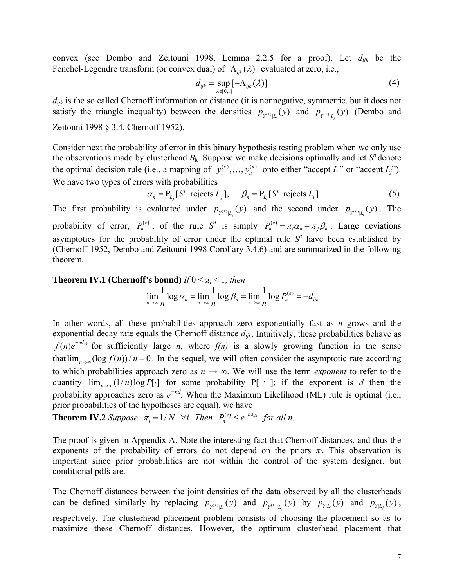convex (see Dembo and Zeitouni 1998, Lemma 2.2.5 for a proof). Let *dijk* be the Fenchel-Legendre transform (or convex dual) of  $\Lambda_{ijk}(\lambda)$  evaluated at zero, i.e.,

$$
d_{ijk} = \sup_{\lambda \in [0,1]} [-\Lambda_{ijk}(\lambda)]. \tag{4}
$$

*dijk* is the so called Chernoff information or distance (it is nonnegative, symmetric, but it does not satisfy the triangle inequality) between the densities  $p_{y^{(k)}|L_i}(y)$  and  $p_{y^{(k)}|L_j}(y)$  (Dembo and Zeitouni 1998 § 3.4, Chernoff 1952).

Consider next the probability of error in this binary hypothesis testing problem when we only use the observations made by clusterhead  $B_k$ . Suppose we make decisions optimally and let  $S<sup>n</sup>$  denote the optimal decision rule (i.e., a mapping of  $y_1^{(k)}, \ldots, y_n^{(k)}$  onto either "accept *L*<sub>i</sub>" or "accept *L<sub>i</sub>*"). We have two types of errors with probabilities

$$
\alpha_n = P_{L_i}[S^n \text{ rejects } L_j], \quad \beta_n = P_{L_i}[S^n \text{ rejects } L_i]
$$
 (5)

The first probability is evaluated under  $p_{y^{(k)}|L_j}(y)$  and the second under  $p_{y^{(k)}|L_j}(y)$ . The probability of error,  $P_n^{(e)}$ , of the rule *S<sup>n</sup>* is simply  $P_n^{(e)} = \pi_i \alpha_n + \pi_j \beta_n$ . Large deviations asymptotics for the probability of error under the optimal rule  $S<sup>n</sup>$  have been established by (Chernoff 1952, Dembo and Zeitouni 1998 Corollary 3.4.6) and are summarized in the following theorem.

**Theorem IV.1 (Chernoff's bound)** *If*  $0 \leq \pi_i \leq 1$ *, then*  $\lim_{n\to\infty}\frac{1}{n}\log\alpha_n=\lim_{n\to\infty}\frac{1}{n}\log\beta_n=\lim_{n\to\infty}\frac{1}{n}\log P_n^{(e)}=-d_{ijk}$ 

In other words, all these probabilities approach zero exponentially fast as *n* grows and the exponential decay rate equals the Chernoff distance *dijk*. Intuitively, these probabilities behave as  $f(n)e^{-nd_{ijk}}$  for sufficiently large *n*, where  $f(n)$  is a slowly growing function in the sense that  $\lim_{n\to\infty} (\log f(n))/n = 0$ . In the sequel, we will often consider the asymptotic rate according to which probabilities approach zero as  $n \to \infty$ . We will use the term *exponent* to refer to the quantity  $\lim_{n\to\infty} (1/n) \log P[\cdot]$  for some probability P[ · ]; if the exponent is *d* then the probability approaches zero as *e <sup>−</sup>nd*. When the Maximum Likelihood (ML) rule is optimal (i.e., prior probabilities of the hypotheses are equal), we have

**Theorem IV.2** *Suppose*  $\pi_i = 1/N$   $\forall i$ . *Then*  $P_n^{(e)} \leq e^{-nd_{ijk}}$  *for all n.* 

The proof is given in Appendix A. Note the interesting fact that Chernoff distances, and thus the exponents of the probability of errors do not depend on the priors  $\pi_i$ . This observation is important since prior probabilities are not within the control of the system designer, but conditional pdfs are.

The Chernoff distances between the joint densities of the data observed by all the clusterheads can be defined similarly by replacing  $p_{y^{(k)}|L_i}(y)$  and  $p_{y^{(k)}|L_i}(y)$  by  $p_{y|L_i}(y)$  and  $p_{y|L_j}(y)$ , respectively. The clusterhead placement problem consists of choosing the placement so as to maximize these Chernoff distances. However, the optimum clusterhead placement that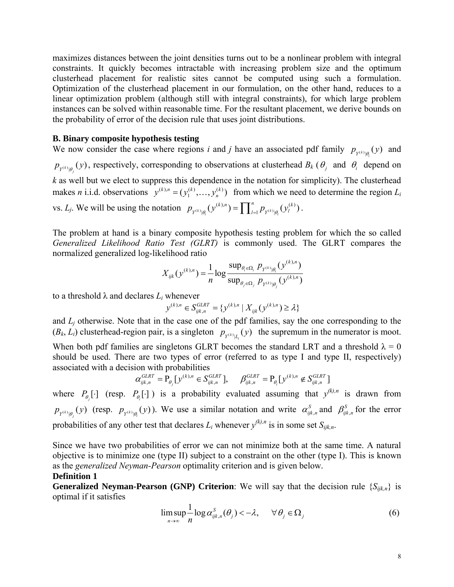maximizes distances between the joint densities turns out to be a nonlinear problem with integral constraints. It quickly becomes intractable with increasing problem size and the optimum clusterhead placement for realistic sites cannot be computed using such a formulation. Optimization of the clusterhead placement in our formulation, on the other hand, reduces to a linear optimization problem (although still with integral constraints), for which large problem instances can be solved within reasonable time. For the resultant placement, we derive bounds on the probability of error of the decision rule that uses joint distributions.

### **B. Binary composite hypothesis testing**

We now consider the case where regions *i* and *j* have an associated pdf family  $p_{y^{(k)}|\theta_i}(y)$  and  $p_{Y^{(k)}|\theta_j}(y)$ , respectively, corresponding to observations at clusterhead  $B_k(\theta_j)$  and  $\theta_i$  depend on *k* as well but we elect to suppress this dependence in the notation for simplicity). The clusterhead makes *n* i.i.d. observations  $y^{(k),n} = (y_1^{(k)},..., y_n^{(k)})$  from which we need to determine the region  $L_i$ vs. *L<sub>j</sub>*. We will be using the notation  $p_{Y^{(k)}|\theta_i}(y^{(k),n}) = \prod_{l=1}^n p_{Y^{(k)}|\theta_i}(y^{(k)}_l)$  $p_{Y^{(k)}|\theta_i}(y^{(k),n}) = \prod_{l=1}^n p_{Y^{(k)}|\theta_i}(y_l^{(k)})$ .

The problem at hand is a binary composite hypothesis testing problem for which the so called *Generalized Likelihood Ratio Test (GLRT)* is commonly used. The GLRT compares the normalized generalized log-likelihood ratio

$$
X_{ijk}(y^{(k),n}) = \frac{1}{n} \log \frac{\sup_{\theta_i \in \Omega_i} p_{y^{(k)}|\theta_i}(y^{(k),n})}{\sup_{\theta_j \in \Omega_j} p_{y^{(k)}|\theta_j}(y^{(k),n})}
$$

to a threshold  $\lambda$  and declares  $L_i$  whenever

$$
y^{(k),n} \in S_{ijk,n}^{GLRT} = \{y^{(k),n} \mid X_{ijk}(y^{(k),n}) \ge \lambda\}
$$

and  $L_i$  otherwise. Note that in the case one of the pdf families, say the one corresponding to the  $(B_k, L_i)$  clusterhead-region pair, is a singleton  $p_{Y^{(k)}|L_i}(y)$  the supremum in the numerator is moot.

When both pdf families are singletons GLRT becomes the standard LRT and a threshold  $\lambda = 0$ should be used. There are two types of error (referred to as type I and type II, respectively) associated with a decision with probabilities

$$
\alpha_{ijk,n}^{\textit{GLRT}} = \mathbf{P}_{\theta_j} \big[ y^{(k),n} \in S_{ijk,n}^{\textit{GLRT}} \big], \quad \beta_{ijk,n}^{\textit{GLRT}} = \mathbf{P}_{\theta_i} \big[ y^{(k),n} \not\in S_{ijk,n}^{\textit{GLRT}} \big]
$$

where  $P_{\theta_i}[\cdot]$  (resp.  $P_{\theta_i}[\cdot]$ ) is a probability evaluated assuming that  $y^{(k),n}$  is drawn from  $p_{Y^{(k)}|\theta_j}(y)$  (resp.  $p_{Y^{(k)}|\theta_i}(y)$ ). We use a similar notation and write  $\alpha_{ijk,n}^S$  and  $\beta_{ijk,n}^S$  for the error probabilities of any other test that declares  $L_i$  whenever  $y^{(k),n}$  is in some set  $S_{ijk,n}$ .

Since we have two probabilities of error we can not minimize both at the same time. A natural objective is to minimize one (type II) subject to a constraint on the other (type I). This is known as the *generalized Neyman-Pearson* optimality criterion and is given below.

### **Definition 1**

**Generalized Neyman-Pearson (GNP) Criterion**: We will say that the decision rule  $\{S_{ijk,n}\}\$ is optimal if it satisfies

$$
\limsup_{n \to \infty} \frac{1}{n} \log \alpha_{ijk,n}^{S}(\theta_j) < -\lambda, \quad \forall \theta_j \in \Omega_j \tag{6}
$$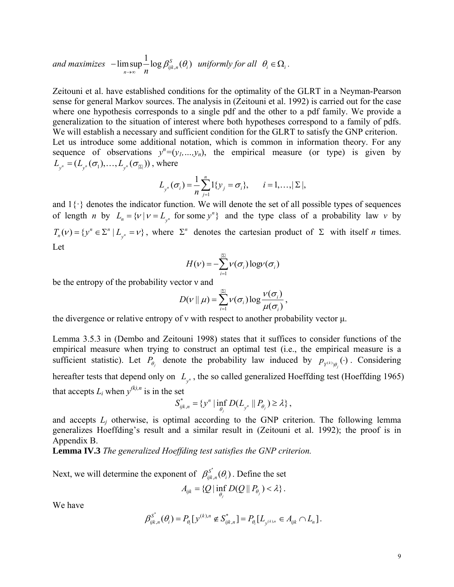and maximizes 
$$
-\limsup_{n\to\infty} \frac{1}{n} \log \beta_{ijk,n}^S(\theta_i)
$$
 uniformly for all  $\theta_i \in \Omega_i$ .

Zeitouni et al. have established conditions for the optimality of the GLRT in a Neyman-Pearson sense for general Markov sources. The analysis in (Zeitouni et al. 1992) is carried out for the case where one hypothesis corresponds to a single pdf and the other to a pdf family. We provide a generalization to the situation of interest where both hypotheses correspond to a family of pdfs. We will establish a necessary and sufficient condition for the GLRT to satisfy the GNP criterion. Let us introduce some additional notation, which is common in information theory. For any sequence of observations  $y^n = (y_1, ..., y_n)$ , the empirical measure (or type) is given by  $L_{\mathbf{y}^n} = (L_{\mathbf{y}^n}(\sigma_1), ..., L_{\mathbf{y}^n}(\sigma_{|\Sigma|}))$ , where

$$
L_{y^{n}}(\sigma_{i}) = \frac{1}{n} \sum_{j=1}^{n} 1\{y_{j} = \sigma_{i}\}, \quad i = 1, ..., |\Sigma|,
$$

and  $1\{\cdot\}$  denotes the indicator function. We will denote the set of all possible types of sequences of length *n* by  $L_n = \{v \mid v = L_{y^n} \text{ for some } y^n\}$  and the type class of a probability law *v* by  $T_n(v) = \{ y^n \in \Sigma^n \mid L_{y^n} = v \}$ , where  $\Sigma^n$  denotes the cartesian product of  $\Sigma$  with itself *n* times. Let

$$
H(\nu) = -\sum_{i=1}^{|\Sigma|} \nu(\sigma_i) \log \nu(\sigma_i)
$$

be the entropy of the probability vector ν and

$$
D(v || \mu) = \sum_{i=1}^{|\Sigma|} v(\sigma_i) \log \frac{v(\sigma_i)}{\mu(\sigma_i)},
$$

the divergence or relative entropy of  $\nu$  with respect to another probability vector  $\mu$ .

Lemma 3.5.3 in (Dembo and Zeitouni 1998) states that it suffices to consider functions of the empirical measure when trying to construct an optimal test (i.e., the empirical measure is a sufficient statistic). Let  $P_{\theta_j}$  denote the probability law induced by  $p_{Y^{(k)}|\theta_j}(\cdot)$ . Considering hereafter tests that depend only on  $L_{y^n}$ , the so called generalized Hoeffding test (Hoeffding 1965) that accepts  $L_i$  when  $y^{(k),n}$  is in the set

$$
S_{ijk,n}^* = \{ y^n \mid \inf_{\theta_j} D(L_{y^n} \parallel P_{\theta_j}) \geq \lambda \},
$$

and accepts  $L_j$  otherwise, is optimal according to the GNP criterion. The following lemma generalizes Hoeffding's result and a similar result in (Zeitouni et al. 1992); the proof is in Appendix B.

**Lemma IV.3** *The generalized Hoeffding test satisfies the GNP criterion.* 

Next, we will determine the exponent of  $\beta_{ijk,n}^{S^*}(\theta_i)$ . Define the set

$$
A_{ijk} = \{Q \mid \inf_{\theta_j} D(Q \parallel P_{\theta_j}) < \lambda\}.
$$

We have

$$
\beta_{ijk,n}^{S^*}(\theta_i) = P_{\theta_i} [y^{(k),n} \notin S_{ijk,n}^*] = P_{\theta_i} [L_{y^{(k),n}} \in A_{ijk} \cap L_n].
$$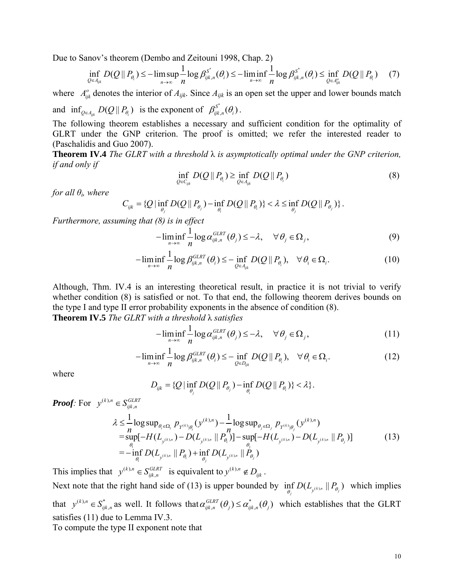Due to Sanov's theorem (Dembo and Zeitouni 1998, Chap. 2)

$$
\inf_{Q\in A_{ijk}} D(Q||P_{\theta_i}) \leq -\limsup_{n\to\infty} \frac{1}{n} \log \beta_{ijk,n}^{S^*}(\theta_i) \leq -\liminf_{n\to\infty} \frac{1}{n} \log \beta_{ijk,n}^{S^*}(\theta_i) \leq \inf_{Q\in A_{ijk}^o} D(Q||P_{\theta_i}) \tag{7}
$$

where  $A_{ijk}^{\circ}$  denotes the interior of  $A_{ijk}$ . Since  $A_{ijk}$  is an open set the upper and lower bounds match and  $\inf_{Q \in A_{ijk}} D(Q || P_{\theta_i})$  is the exponent of  $\beta_{ijk,n}^{S^*}(\theta_i)$ .

The following theorem establishes a necessary and sufficient condition for the optimality of

GLRT under the GNP criterion. The proof is omitted; we refer the interested reader to (Paschalidis and Guo 2007).

**Theorem IV.4** *The GLRT with a threshold* λ *is asymptotically optimal under the GNP criterion, if and only if* 

$$
\inf_{Q \in C_{ijk}} D(Q \parallel P_{\theta_i}) \ge \inf_{Q \in A_{ijk}} D(Q \parallel P_{\theta_i})
$$
\n(8)

*for all*  $\theta$ <sup>*i*</sup>, where

 $C_{ijk} = \{ Q \mid \inf_{\theta_j} D(Q \mid\mid P_{\theta_j}) - \inf_{\theta_i} D(Q \mid\mid P_{\theta_i}) \} < \lambda \leq \inf_{\theta_j} D(Q \mid\mid P_{\theta_j}) \}$ .

*Furthermore, assuming that (8) is in effect* 

$$
-\liminf_{n\to\infty}\frac{1}{n}\log\alpha_{ijk,n}^{GLRT}(\theta_j)\leq-\lambda,\quad\forall\,\theta_j\in\Omega_j,\tag{9}
$$

$$
-\liminf_{n\to\infty}\frac{1}{n}\log\beta_{ijk,n}^{GLRT}(\theta_i)\leq-\inf_{Q\in\mathcal{A}_{ijk}}D(Q\,||\,P_{\theta_i}),\quad\forall\,\theta_i\in\Omega_i.
$$
\n(10)

Although, Thm. IV.4 is an interesting theoretical result, in practice it is not trivial to verify whether condition (8) is satisfied or not. To that end, the following theorem derives bounds on the type I and type II error probability exponents in the absence of condition (8). **Theorem IV.5** *The GLRT with a threshold* λ *satisfies* 

$$
-\liminf_{n\to\infty}\frac{1}{n}\log\alpha_{ijk,n}^{GLRT}(\theta_j)\leq-\lambda,\quad\forall\,\theta_j\in\Omega_j,\tag{11}
$$

$$
-\liminf_{n\to\infty}\frac{1}{n}\log\beta_{ijk,n}^{GLRT}(\theta_i)\leq-\inf_{Q\in D_{ijk}}D(Q\,\|\,P_{\theta_i}),\quad\forall\,\theta_i\in\Omega_i.
$$
\n(12)

where

$$
D_{ijk} = \{Q \mid \inf_{\theta_j} D(Q \parallel P_{\theta_j}) - \inf_{\theta_i} D(Q \parallel P_{\theta_i})\} < \lambda\}.
$$

*Proof:* For  $y^{(k),n} \in S_{ijk}^{GL}$  $y^{(k),n} \in S_{ijk,n}^{GLRT}$ 

$$
\lambda \leq \frac{1}{n} \log \sup_{\theta_i \in \Omega_i} p_{Y^{(k)}|\theta_i} (y^{(k),n}) - \frac{1}{n} \log \sup_{\theta_j \in \Omega_j} p_{Y^{(k)}|\theta_j} (y^{(k),n}) \n= \sup_{\theta_i} [-H(L_{y^{(k),n}}) - D(L_{y^{(k),n}} || P_{\theta_i})] - \sup_{\theta_i} [-H(L_{y^{(k),n}}) - D(L_{y^{(k),n}} || P_{\theta_i})] \n= - \inf_{\theta_i} D(L_{y^{(k),n}} || P_{\theta_i}) + \inf_{\theta_j} D(L_{y^{(k),n}} || P_{\theta_j})
$$
\n(13)

This implies that  $y^{(k),n} \in S_{ijk}^{GL}$  $y^{(k),n} \in S_{ijk,n}^{GLRT}$  is equivalent to  $y^{(k),n} \notin D_{ijk}$ . Next note that the right hand side of (13) is upper bounded by  $\inf_{\theta_j} D(L_{y^{(k),n}} || P_{\theta_j})$  which implies that  $y^{(k), n} \in S^*_{ijk}$ ,  $y^{(k),n} \in S_{ijk,n}^*$  as well. It follows that  $\alpha_{ijk,n}^{GLRT}(\theta_j) \leq \alpha_{ijk,n}^*(\theta_j)$  which establishes that the GLRT satisfies (11) due to Lemma IV.3.

To compute the type II exponent note that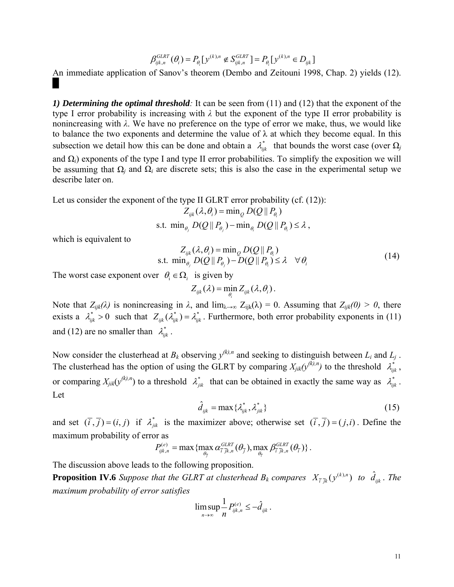$$
\beta_{ijk,n}^{GLRT}(\theta_i) = P_{\theta_i} [y^{(k),n} \notin S_{ijk,n}^{GLRT}] = P_{\theta_i} [y^{(k),n} \in D_{ijk}]
$$

An immediate application of Sanov's theorem (Dembo and Zeitouni 1998, Chap. 2) yields (12).

*1) Determining the optimal threshold:* It can be seen from (11) and (12) that the exponent of the type I error probability is increasing with *λ* but the exponent of the type II error probability is nonincreasing with  $\lambda$ . We have no preference on the type of error we make, thus, we would like to balance the two exponents and determine the value of  $\lambda$  at which they become equal. In this subsection we detail how this can be done and obtain a  $\lambda_{ijk}^*$  that bounds the worst case (over  $\Omega_j$ ) and  $\Omega_i$ ) exponents of the type I and type II error probabilities. To simplify the exposition we will be assuming that  $\Omega_i$  and  $\Omega_i$  are discrete sets; this is also the case in the experimental setup we describe later on.

Let us consider the exponent of the type II GLRT error probability (cf.  $(12)$ ):

$$
Z_{ijk}(\lambda, \theta_i) = \min_{Q} D(Q \parallel P_{\theta_i})
$$

s.t. 
$$
\min_{\theta_i} D(Q \parallel P_{\theta_i}) - \min_{\theta_i} D(Q \parallel P_{\theta_i}) \le \lambda
$$
,

which is equivalent to

$$
Z_{ijk}(\lambda, \theta_i) = \min_{Q} D(Q || P_{\theta_i})
$$
  
s.t. 
$$
\min_{\theta_i} D(Q || P_{\theta_i}) - D(Q || P_{\theta_i}) \le \lambda \quad \forall \theta_i
$$
 (14)

The worst case exponent over  $\theta_i \in \Omega_i$  is given by

$$
Z_{ijk}(\lambda) = \min_{\theta_i} Z_{ijk}(\lambda, \theta_i).
$$

Note that  $Z_{ijk}(\lambda)$  is nonincreasing in  $\lambda$ , and  $\lim_{\lambda \to \infty} Z_{ijk}(\lambda) = 0$ . Assuming that  $Z_{ijk}(0) > 0$ , there exists a  $\lambda_{ijk}^* > 0$  such that  $Z_{ijk}(\lambda_{ijk}^*) = \lambda_{ijk}^*$ . Furthermore, both error probability exponents in (11) and (12) are no smaller than  $\lambda_{ijk}^*$ .

Now consider the clusterhead at  $B_k$  observing  $y^{(k),n}$  and seeking to distinguish between  $L_i$  and  $L_j$ . The clusterhead has the option of using the GLRT by comparing  $X_{jik}(y^{(k),n})$  to the threshold  $\lambda_{ijk}^*$ , or comparing  $X_{jik}(y^{(k),n})$  to a threshold  $\lambda^*_{jik}$  that can be obtained in exactly the same way as  $\lambda^*_{ijk}$ . Let

$$
\hat{d}_{ijk} = \max \{ \lambda_{ijk}^*, \lambda_{jik}^* \} \tag{15}
$$

and set  $(\overline{i}, \overline{j}) = (i, j)$  if  $\lambda_{ijk}^*$  is the maximizer above; otherwise set  $(\overline{i}, \overline{j}) = (j, i)$ . Define the maximum probability of error as

$$
P_{ijk,n}^{(e)} = \max \{ \max_{\theta_{\bar{j}}} \alpha_{\bar{i}}^{GLRT}(\theta_{\bar{j}}), \max_{\theta_{\bar{i}}} \beta_{\bar{i}}^{GLRT}(\theta_{\bar{i}}) \}.
$$

The discussion above leads to the following proposition.

**Proposition IV.6** Suppose that the GLRT at clusterhead  $B_k$  compares  $(X_{\bar{i}}_{\bar{j}k}(y^{(k),n})$  to  $\hat{d}_{ijk}$ . The *maximum probability of error satisfies* 

$$
\limsup_{n\to\infty}\frac{1}{n}P_{ijk,n}^{(e)}\leq-\hat{d}_{ijk}.
$$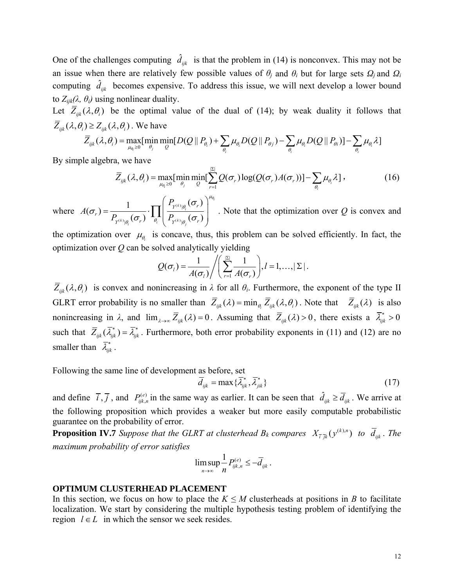One of the challenges computing  $\hat{d}_{ijk}$  is that the problem in (14) is nonconvex. This may not be an issue when there are relatively few possible values of  $\theta_i$  and  $\theta_i$  but for large sets  $\Omega_i$  and  $\Omega_i$ computing  $\hat{d}_{ijk}$  becomes expensive. To address this issue, we will next develop a lower bound to  $Z_{ijk}(\lambda, \theta_i)$  using nonlinear duality.

Let  $\overline{Z}_{ijk}(\lambda, \theta_i)$  be the optimal value of the dual of (14); by weak duality it follows that  $\overline{Z}_{ijk}(\lambda, \theta_i) \geq Z_{ijk}(\lambda, \theta_i)$ . We have

$$
\overline{Z}_{ijk}(\lambda,\theta_i) = \max_{\mu_{\theta_i}\geq 0} [\min_{\theta_j} \min_{Q} [D(Q \parallel P_{\theta_i}) + \sum_{\theta_i} \mu_{\theta_i} D(Q \parallel P_{\theta_j}) - \sum_{\theta_i} \mu_{\theta_i} D(Q \parallel P_{\theta_i})] - \sum_{\theta_i} \mu_{\theta_i} \lambda]
$$

By simple algebra, we have

$$
\overline{Z}_{ijk}(\lambda,\theta_i) = \max_{\mu_{\theta_i} \geq 0} [\min_{\theta_j} \min_{Q} [\sum_{r=1}^{|\Sigma|} Q(\sigma_r) \log(Q(\sigma_r) A(\sigma_r))] - \sum_{\theta_i} \mu_{\theta_i} \lambda], \qquad (16)
$$

where  $A(\sigma_r) = \frac{1}{\sigma_r} \cdot \prod_{\lambda \in \mathcal{N}} \frac{1}{\sigma_r}$  $\mathcal{L}(\sigma_r) = \frac{1}{P_{Y^{(k)}\mid_{\theta_i}}(\sigma_r)}\cdot \prod_{\theta_i}\left(\frac{P_{Y^{(k)}\mid_{\theta_i}}(\sigma_r)}{P_{Y^{(k)}\mid_{\theta_i}}(\sigma_r)}\right)^{\mu_{\theta_i}}$ |  $\binom{k}{i}$  $\theta_i$  $\left\langle k \right\rangle_{\mathcal{B}_i}$  ( $\mathcal{O}_r$ *)*  $\theta_i$  ( $\mathcal{F}_r^{(k)}$   $\mathcal{B}_j$  $Y^{(k)}$  $|\theta_i|$ <sup> $Q_r$ </sup> *r*  $Y^{(k)} | \theta_i$  (*O<sub>r</sub>*)  $\theta_i$  (*I*<sub>Y</sub>(k)<sub>| $\theta_i$ </sub> (*O<sub>r</sub>*) *P A*  $P_{\mathbf{v}^{(k)}\cdot\mathbf{o}}(\sigma_r)$   $\left| \begin{array}{c} \mathbf{I} \\ \theta_i \end{array} \right|$   $P_{\mathbf{v}}$  $\mu_\theta$ θ  $\theta_i$  ( $\mathbf{v}_r$ )  $\theta_i$  ( $\mathbf{v}_f$  $\mathbf{v}_i$ ) $\theta$ σ σ  $\sigma$   $\sim$   $\sigma$   $\sim$   $\sigma$  $(P_{\text{obs}}(\sigma_{\text{a}}))$  $=\frac{1}{\sqrt{2\pi i}}\cdot\prod_{i=1}^{\infty}\left|\frac{Y^{(k)}|\theta_i^{(i)}Y^{(i)}|}{\theta_i^{(i)}Y^{(i)}\theta_i^{(i)}}\right|$  $\left( \, P_{Y^{(k)}|\theta_j}(\sigma_{r}) \, \right)$  $\prod \left| \frac{\Gamma_{Y^{(k)}|\theta_i}(C_r)}{P_{(k)}(C_r)} \right|$ . Note that the optimization over Q is convex and

the optimization over  $\mu_{\theta_i}$  is concave, thus, this problem can be solved efficiently. In fact, the optimization over *Q* can be solved analytically yielding

$$
Q(\sigma_l) = \frac{1}{A(\sigma_l)} / \left( \sum_{r=1}^{|\Sigma|} \frac{1}{A(\sigma_r)} \right), l = 1, \ldots, |\Sigma|.
$$

 $\overline{Z}_{ijk}(\lambda, \theta_i)$  is convex and nonincreasing in  $\lambda$  for all  $\theta_i$ . Furthermore, the exponent of the type II GLRT error probability is no smaller than  $\overline{Z}_{ijk}(\lambda) = \min_{\theta_i} \overline{Z}_{ijk}(\lambda, \theta_i)$ . Note that  $\overline{Z}_{ijk}(\lambda)$  is also nonincreasing in  $\lambda$ , and  $\lim_{\lambda \to \infty} \overline{Z}_{ik}(\lambda) = 0$ . Assuming that  $\overline{Z}_{ik}(\lambda) > 0$ , there exists a  $\overline{\lambda}_{ik}^* > 0$ such that  $\overline{Z}_{ijk}(\overline{\lambda}_{ijk}^*) = \overline{\lambda}_{ijk}^*$ . Furthermore, both error probability exponents in (11) and (12) are no smaller than  $\bar{\lambda}_{ijk}^*$ .

Following the same line of development as before, set

$$
\overline{d}_{ijk} = \max \{ \overline{\lambda}_{ijk}^*, \overline{\lambda}_{jik}^* \}
$$
 (17)

and define  $\overline{i}, \overline{j}$ , and  $P_{ijk,n}^{(e)}$  in the same way as earlier. It can be seen that  $\hat{d}_{ijk} \ge \overline{d}_{ijk}$ . We arrive at the following proposition which provides a weaker but more easily computable probabilistic guarantee on the probability of error.

**Proposition IV.7** *Suppose that the GLRT at clusterhead B<sub>k</sub> compares*  $X_{\bar{i}}_{ik}(y^{(k),n})$  *to*  $\bar{d}_{ijk}$ *. The maximum probability of error satisfies* 

$$
\limsup_{n\to\infty}\frac{1}{n}P_{ijk,n}^{(e)}\leq-\overline{d}_{ijk}.
$$

#### **OPTIMUM CLUSTERHEAD PLACEMENT**

In this section, we focus on how to place the  $K \leq M$  clusterheads at positions in *B* to facilitate localization. We start by considering the multiple hypothesis testing problem of identifying the region  $l \in L$  in which the sensor we seek resides.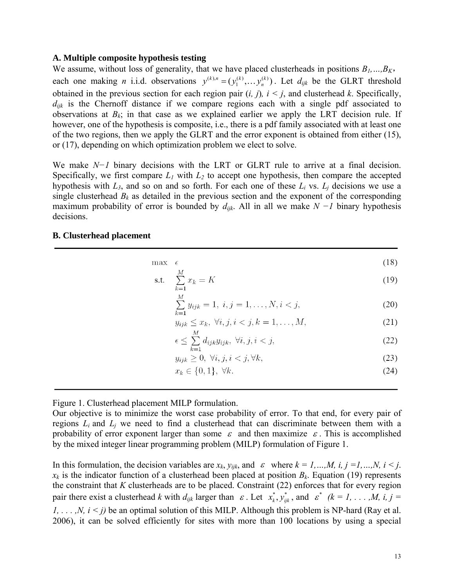#### **A. Multiple composite hypothesis testing**

We assume, without loss of generality, that we have placed clusterheads in positions  $B_1, \ldots, B_K$ , each one making *n* i.i.d. observations  $y^{(k),n} = (y_1^{(k)}, \dots y_n^{(k)})$ . Let  $d_{ijk}$  be the GLRT threshold obtained in the previous section for each region pair (*i, j*)*, i < j*, and clusterhead *k*. Specifically,  $d_{ijk}$  is the Chernoff distance if we compare regions each with a single pdf associated to observations at  $B_k$ ; in that case as we explained earlier we apply the LRT decision rule. If however, one of the hypothesis is composite, i.e., there is a pdf family associated with at least one of the two regions, then we apply the GLRT and the error exponent is obtained from either (15), or (17), depending on which optimization problem we elect to solve.

We make *N−1* binary decisions with the LRT or GLRT rule to arrive at a final decision. Specifically, we first compare  $L_1$  with  $L_2$  to accept one hypothesis, then compare the accepted hypothesis with  $L_3$ , and so on and so forth. For each one of these  $L_i$  vs.  $L_j$  decisions we use a single clusterhead  $B_k$  as detailed in the previous section and the exponent of the corresponding maximum probability of error is bounded by *dijk*. All in all we make *N −1* binary hypothesis decisions.

#### **B. Clusterhead placement**

| max | ∽<br>$\sim$  | (18) |
|-----|--------------|------|
|     | $\mathbf{a}$ |      |

$$
\text{s.t.} \quad \sum_{k=1}^{M} x_k = K \tag{19}
$$

$$
\sum_{k=1}^{M} y_{ijk} = 1, \ i, j = 1, \dots, N, i < j,\tag{20}
$$

$$
y_{ijk} \leq x_k, \ \forall i, j, i < j, k = 1, \dots, M,\tag{21}
$$

$$
\epsilon \le \sum_{k=1}^{M} d_{ijk} y_{ijk}, \ \forall i, j, i < j,\tag{22}
$$

$$
y_{ijk} \ge 0, \ \forall i, j, i < j, \forall k,\tag{23}
$$

$$
x_k \in \{0, 1\}, \ \forall k. \tag{24}
$$

Figure 1. Clusterhead placement MILP formulation.

Our objective is to minimize the worst case probability of error. To that end, for every pair of regions  $L_i$  and  $L_j$  we need to find a clusterhead that can discriminate between them with a probability of error exponent larger than some  $\varepsilon$  and then maximize  $\varepsilon$ . This is accomplished by the mixed integer linear programming problem (MILP) formulation of Figure 1.

In this formulation, the decision variables are  $x_k$ ,  $y_{ijk}$ , and  $\varepsilon$  where  $k = 1, ..., M$ ,  $i, j = 1, ..., N$ ,  $i \le j$ .  $x_k$  is the indicator function of a clusterhead been placed at position  $B_k$ . Equation (19) represents the constraint that *K* clusterheads are to be placed. Constraint (22) enforces that for every region pair there exist a clusterhead *k* with  $d_{ijk}$  larger than  $\varepsilon$ . Let  $x_k^*$ ,  $y_{ijk}^*$ , and  $\varepsilon^*$  ( $k = 1, \ldots, M$ , i,  $j = 1$ *1, . . . , N,*  $i < j$ *)* be an optimal solution of this MILP. Although this problem is NP-hard (Ray et al. 2006), it can be solved efficiently for sites with more than 100 locations by using a special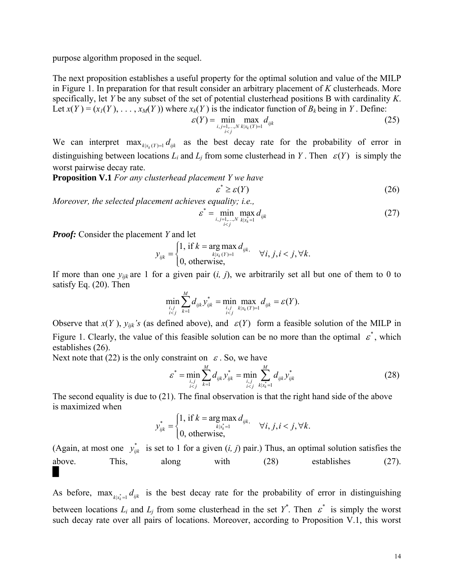purpose algorithm proposed in the sequel.

The next proposition establishes a useful property for the optimal solution and value of the MILP in Figure 1. In preparation for that result consider an arbitrary placement of *K* clusterheads. More specifically, let *Y* be any subset of the set of potential clusterhead positions B with cardinality *K*. Let  $x(Y) = (x_1(Y), \ldots, x_M(Y))$  where  $x_k(Y)$  is the indicator function of  $B_k$  being in *Y*. Define:

$$
\varepsilon(Y) = \min_{\substack{i,j=1,\dots,N \\ i < j}} \max_{k|x_k(Y)=1} d_{ijk} \tag{25}
$$

We can interpret  $\max_{k|x_i(Y)=1} d_{ijk}$  as the best decay rate for the probability of error in distinguishing between locations  $L_i$  and  $L_j$  from some clusterhead in *Y*. Then  $\varepsilon(Y)$  is simply the worst pairwise decay rate.

**Proposition V.1** *For any clusterhead placement Y we have* 

$$
\varepsilon^* \ge \varepsilon(Y) \tag{26}
$$

*Moreover, the selected placement achieves equality; i.e.,* 

$$
\varepsilon^* = \min_{\substack{i,j=1,\dots,N \\ i (27)
$$

*Proof:* Consider the placement *Y* and let

$$
y_{ijk} = \begin{cases} 1, \text{ if } k = \arg \max_{k|x_k(Y)=1} d_{ijk}, & \forall i, j, i < j, \forall k. \\ 0, \text{ otherwise,} \end{cases}
$$

If more than one  $y_{ijk}$  are 1 for a given pair  $(i, j)$ , we arbitrarily set all but one of them to 0 to satisfy Eq. (20). Then

$$
\min_{\substack{i,j \ i
$$

Observe that  $x(Y)$ ,  $y_{ijk}$ 's (as defined above), and  $\varepsilon(Y)$  form a feasible solution of the MILP in Figure 1. Clearly, the value of this feasible solution can be no more than the optimal  $\varepsilon^*$ , which establishes (26).

Next note that (22) is the only constraint on  $\varepsilon$ . So, we have

$$
\varepsilon^* = \min_{\substack{i,j \\ i < j}} \sum_{k=1}^M d_{ijk} y^*_{ijk} = \min_{\substack{i,j \\ i < j}} \sum_{k|x^*_{k}=1}^M d_{ijk} y^*_{ijk} \tag{28}
$$

The second equality is due to (21). The final observation is that the right hand side of the above is maximized when

$$
y_{ijk}^* = \begin{cases} 1, & \text{if } k = \arg \max_{k|x_k^*=1} d_{ijk}, \\ 0, & \text{otherwise}, \end{cases} \forall i, j, i < j, \forall k.
$$

(Again, at most one  $y_{ijk}^*$  is set to 1 for a given  $(i, j)$  pair.) Thus, an optimal solution satisfies the above. This, along with (28) establishes (27). █

As before,  $\max_{k|x|=1} d_{ijk}$  is the best decay rate for the probability of error in distinguishing between locations  $L_i$  and  $L_j$  from some clusterhead in the set  $\overline{Y}^*$ . Then  $\overline{\varepsilon}^*$  is simply the worst such decay rate over all pairs of locations. Moreover, according to Proposition V.1, this worst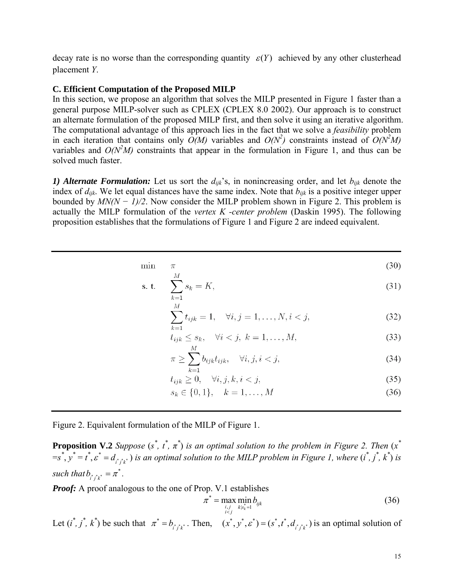decay rate is no worse than the corresponding quantity  $\varepsilon(Y)$  achieved by any other clusterhead placement *Y*.

### **C. Efficient Computation of the Proposed MILP**

In this section, we propose an algorithm that solves the MILP presented in Figure 1 faster than a general purpose MILP-solver such as CPLEX (CPLEX 8.0 2002). Our approach is to construct an alternate formulation of the proposed MILP first, and then solve it using an iterative algorithm. The computational advantage of this approach lies in the fact that we solve a *feasibility* problem in each iteration that contains only  $\ddot{O}(M)$  variables and  $O(N^2)$  constraints instead of  $O(N^2M)$ variables and  $O(N<sup>2</sup>M)$  constraints that appear in the formulation in Figure 1, and thus can be solved much faster.

*1) Alternate Formulation:* Let us sort the  $d_{ijk}$ 's, in nonincreasing order, and let  $b_{ijk}$  denote the index of  $d_{ijk}$ . We let equal distances have the same index. Note that  $b_{ijk}$  is a positive integer upper bounded by *MN(N − 1)/2*. Now consider the MILP problem shown in Figure 2. This problem is actually the MILP formulation of the *vertex K -center problem* (Daskin 1995). The following proposition establishes that the formulations of Figure 1 and Figure 2 are indeed equivalent.

$$
\min \quad \pi \tag{30}
$$

s. t. 
$$
\sum_{k=1}^{M} s_k = K,
$$
 (31)

$$
\sum_{k=1}^{M} t_{ijk} = 1, \quad \forall i, j = 1, \dots, N, i < j,\tag{32}
$$

$$
t_{ijk} \leq s_k, \quad \forall i < j, \ k = 1, \dots, M,\tag{33}
$$

$$
\pi \ge \sum_{k=1}^{\infty} b_{ijk} t_{ijk}, \quad \forall i, j, i < j,\tag{34}
$$

$$
t_{ijk} \ge 0, \quad \forall i, j, k, i < j,\tag{35}
$$

$$
s_k \in \{0, 1\}, \quad k = 1, \dots, M \tag{36}
$$

Figure 2. Equivalent formulation of the MILP of Figure 1.

**Proposition V.2** *Suppose*  $(s^*, t^*, \pi^*)$  *is an optimal solution to the problem in Figure 2. Then*  $(x^*$  $=s^*$ ,  $y^* = t^*$ ,  $\varepsilon^* = d_{i^*j^*k^*}$ ) *is an optimal solution to the MILP problem in Figure 1, where*  $(i^*, j^*, k^*)$  *is such that*  $b_{i^*j^*k^*} = \pi^*$ .

*Proof:* A proof analogous to the one of Prop. V.1 establishes

$$
\pi^* = \max_{\substack{i,j \\ i < j}} \min_{k|s_k^* = 1} b_{ijk} \tag{36}
$$

Let  $(i^*, j^*, k^*)$  be such that  $\pi^* = b_{i^* j^* k^*}$ . Then,  $(x^*, y^*, \varepsilon^*) = (s^*, t^*, d_{i^* j^* k^*})$  is an optimal solution of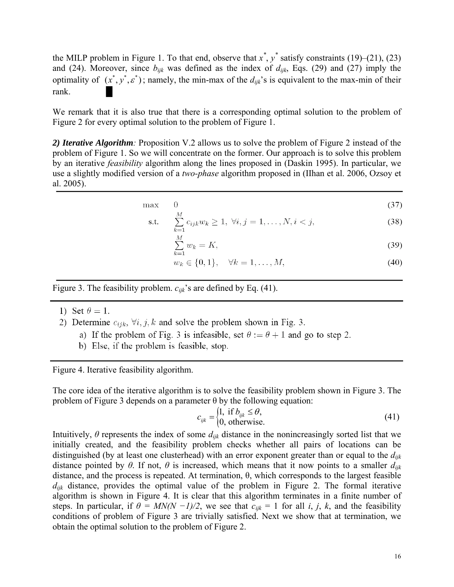the MILP problem in Figure 1. To that end, observe that  $x^*$ ,  $y^*$  satisfy constraints (19)–(21), (23) and (24). Moreover, since  $b_{ijk}$  was defined as the index of  $d_{ijk}$ , Eqs. (29) and (27) imply the optimality of  $(x^*, y^*, \varepsilon^*)$ ; namely, the min-max of the  $d_{ijk}$ 's is equivalent to the max-min of their rank.

We remark that it is also true that there is a corresponding optimal solution to the problem of Figure 2 for every optimal solution to the problem of Figure 1.

*2) Iterative Algorithm:* Proposition V.2 allows us to solve the problem of Figure 2 instead of the problem of Figure 1. So we will concentrate on the former. Our approach is to solve this problem by an iterative *feasibility* algorithm along the lines proposed in (Daskin 1995). In particular, we use a slightly modified version of a *two-phase* algorithm proposed in (IIhan et al. 2006, Ozsoy et al. 2005).

$$
\max \qquad 0 \tag{37}
$$

s.t. 
$$
\sum_{k=1}^{M} c_{ijk} w_k \ge 1, \ \forall i, j = 1, ..., N, i < j,
$$
 (38)

$$
\sum_{k=1}^{M} w_k = K,\tag{39}
$$

$$
w_k \in \{0, 1\}, \quad \forall k = 1, \dots, M,\tag{40}
$$

Figure 3. The feasibility problem. *cijk*'s are defined by Eq. (41).

- 1) Set  $\theta = 1$ .
- 2) Determine  $c_{ijk}$ ,  $\forall i, j, k$  and solve the problem shown in Fig. 3.
	- a) If the problem of Fig. 3 is infeasible, set  $\theta := \theta + 1$  and go to step 2.
	- b) Else, if the problem is feasible, stop.

Figure 4. Iterative feasibility algorithm.

The core idea of the iterative algorithm is to solve the feasibility problem shown in Figure 3. The problem of Figure 3 depends on a parameter  $\theta$  by the following equation:

$$
c_{ijk} = \begin{cases} 1, & \text{if } b_{ijk} \leq \theta, \\ 0, & \text{otherwise.} \end{cases}
$$
 (41)

Intuitively,  $\theta$  represents the index of some  $d_{ijk}$  distance in the nonincreasingly sorted list that we initially created, and the feasibility problem checks whether all pairs of locations can be distinguished (by at least one clusterhead) with an error exponent greater than or equal to the *dijk* distance pointed by  $\theta$ . If not,  $\theta$  is increased, which means that it now points to a smaller  $d_{ijk}$ distance, and the process is repeated. At termination, θ, which corresponds to the largest feasible *dijk* distance, provides the optimal value of the problem in Figure 2. The formal iterative algorithm is shown in Figure 4. It is clear that this algorithm terminates in a finite number of steps. In particular, if  $\theta = MN(N - 1)/2$ , we see that  $c_{ijk} = 1$  for all *i*, *j*, *k*, and the feasibility conditions of problem of Figure 3 are trivially satisfied. Next we show that at termination, we obtain the optimal solution to the problem of Figure 2.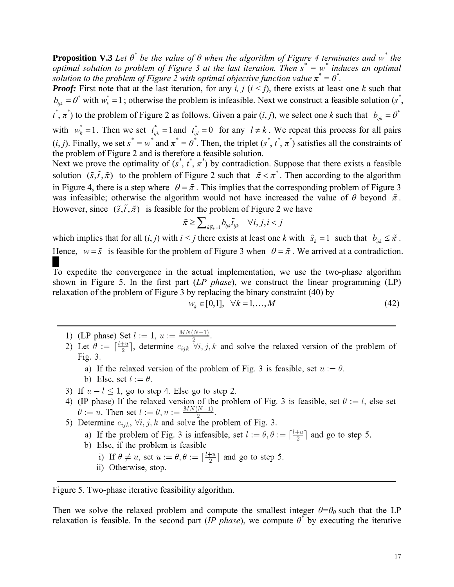**Proposition V.3** *Let*  $\theta^*$  *be the value of*  $\theta$  *when the algorithm of Figure 4 terminates and*  $w^*$  *the optimal solution to problem of Figure 3 at the last iteration. Then s\* = w\* induces an optimal solution to the problem of Figure 2 with optimal objective function value*  $\pi^* = \theta^*$ .

*Proof:* First note that at the last iteration, for any *i, j* ( $i < j$ ), there exists at least one *k* such that  $b_{ijk} = \theta^*$  with  $w_k^* = 1$ ; otherwise the problem is infeasible. Next we construct a feasible solution (*s*<sup>\*</sup>,  $t^*$ ,  $\pi^*$ ) to the problem of Figure 2 as follows. Given a pair  $(i, j)$ , we select one *k* such that  $b_{ijk} = \theta^*$ with  $w_k^* = 1$ . Then we set  $t_{ijk}^* = 1$  and  $t_{ijl}^* = 0$  for any  $l \neq k$ . We repeat this process for all pairs  $(i, j)$ . Finally, we set  $s^* = w^*$  and  $\pi^* = \theta^*$ . Then, the triplet  $(s^*, t^*, \pi^*)$  satisfies all the constraints of the problem of Figure 2 and is therefore a feasible solution.

Next we prove the optimality of  $(s^*, t^*, \pi^*)$  by contradiction. Suppose that there exists a feasible solution  $(\tilde{s}, \tilde{t}, \tilde{\pi})$  to the problem of Figure 2 such that  $\tilde{\pi} < \pi^*$ . Then according to the algorithm in Figure 4, there is a step where  $\theta = \tilde{\pi}$ . This implies that the corresponding problem of Figure 3 was infeasible; otherwise the algorithm would not have increased the value of  $\theta$  beyond  $\tilde{\pi}$ . However, since  $(\tilde{s}, \tilde{t}, \tilde{\pi})$  is feasible for the problem of Figure 2 we have

$$
\tilde{\pi} \geq \sum\nolimits_{k|\tilde{s}_k=1} b_{ijk} \tilde{t}_{ijk} \quad \forall i,j,i
$$

which implies that for all  $(i, j)$  with  $i < j$  there exists at least one  $k$  with  $\tilde{s}_k = 1$  such that  $b_{ijk} \leq \tilde{\pi}$ . Hence,  $w = \tilde{s}$  is feasible for the problem of Figure 3 when  $\theta = \tilde{\pi}$ . We arrived at a contradiction.

To expedite the convergence in the actual implementation, we use the two-phase algorithm shown in Figure 5. In the first part (*LP phase*), we construct the linear programming (LP) relaxation of the problem of Figure 3 by replacing the binary constraint (40) by

$$
w_k \in [0,1], \quad \forall k = 1,\dots,M
$$
\n
$$
(42)
$$

- 
- 1) (LP phase) Set  $l := 1$ ,  $u := \frac{MN(N-1)}{2}$ .<br>2) Let  $\theta := \lceil \frac{l+u}{2} \rceil$ , determine  $c_{ijk} \ \forall i, j, k$  and solve the relaxed version of the problem of Fig.  $3$ .
	- a) If the relaxed version of the problem of Fig. 3 is feasible, set  $u := \theta$ .
	- b) Else, set  $l := \theta$ .
- 3) If  $u-l < 1$ , go to step 4. Else go to step 2.
- 4) (IP phase) If the relaxed version of the problem of Fig. 3 is feasible, set  $\theta := l$ , else set b (if phase) if the related version of the problem of Fig.<br>  $\theta := u$ . Then set  $l := \theta, u := \frac{MN(N-1)}{2}$ .<br>
5) Determine  $c_{ijk}$ ,  $\forall i, j, k$  and solve the problem of Fig. 3.
- - a) If the problem of Fig. 3 is infeasible, set  $l := \theta, \theta := \lceil \frac{l+u}{2} \rceil$  and go to step 5.
	- b) Else, if the problem is feasible
		- i) If  $\theta \neq u$ , set  $u := \theta, \theta := \lceil \frac{l+u}{2} \rceil$  and go to step 5.
		- ii) Otherwise, stop.

Figure 5. Two-phase iterative feasibility algorithm.

Then we solve the relaxed problem and compute the smallest integer  $\theta = \theta_0$  such that the LP relaxation is feasible. In the second part (*IP phase*), we compute  $\theta^*$  by executing the iterative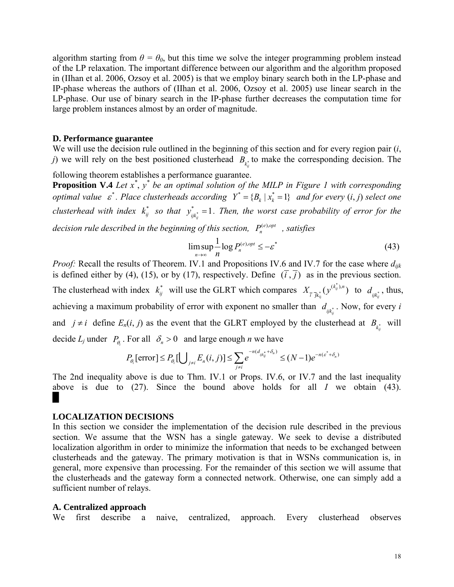algorithm starting from  $\theta = \theta_0$ , but this time we solve the integer programming problem instead of the LP relaxation. The important difference between our algorithm and the algorithm proposed in (IIhan et al. 2006, Ozsoy et al. 2005) is that we employ binary search both in the LP-phase and IP-phase whereas the authors of (IIhan et al. 2006, Ozsoy et al. 2005) use linear search in the LP-phase. Our use of binary search in the IP-phase further decreases the computation time for large problem instances almost by an order of magnitude.

#### **D. Performance guarantee**

We will use the decision rule outlined in the beginning of this section and for every region pair (*i*, *j*) we will rely on the best positioned clusterhead  $B_{\kappa}$  to make the corresponding decision. The

following theorem establishes a performance guarantee.

**Proposition V.4** Let  $x^*$ ,  $y^*$  be an optimal solution of the MILP in Figure 1 with corresponding *optimal value*  $\varepsilon^*$ . Place clusterheads according  $Y^* = \{B_k | x_k^* = 1\}$  and for every  $(i, j)$  select one *clusterhead with index*  $k_{ij}^*$  so that  $y_{ijk_{ij}}^* = 1$ . Then, the worst case probability of error for the

*decision rule described in the beginning of this section,*  $P_n^{(e), opt}$ , *satisfies* 

$$
\limsup_{n \to \infty} \frac{1}{n} \log P_n^{(e), opt} \le -\varepsilon^* \tag{43}
$$

*Proof:* Recall the results of Theorem. IV.1 and Propositions IV.6 and IV.7 for the case where *dijk* is defined either by (4), (15), or by (17), respectively. Define  $(\overline{i}, \overline{j})$  as in the previous section. The clusterhead with index  $k_{ij}^*$  will use the GLRT which compares  $X_{\bar{i}}_{\bar{j}}(y^{(k_{ij}^*)}$  $X_{\bar{i}}_{\bar{j}} \bar{j}_{k_{ij}^{*}}(y^{(k_{ij}^{*}),n})$  to  $d_{ijk_{ij}^{*}}$ , thus, achieving a maximum probability of error with exponent no smaller than  $d_{ijk_{ij}}$ . Now, for every *i* and  $j \neq i$  define  $E_n(i, j)$  as the event that the GLRT employed by the clusterhead at  $B_{k_{ij}^*}$  will decide  $L_j$  under  $P_{\theta_i}$ . For all  $\delta_n > 0$  and large enough *n* we have

$$
P_{\theta_i}[\text{error}] \le P_{\theta_i}[\bigcup_{j \neq i} E_n(i,j)] \le \sum_{j \neq i} e^{-n(d_{ijk_j^*} + \delta_n)} \le (N-1)e^{-n(\varepsilon^* + \delta_n)}
$$

The 2nd inequality above is due to Thm. IV.1 or Props. IV.6, or IV.7 and the last inequality above is due to (27). Since the bound above holds for all *I* we obtain (43). █

### **LOCALIZATION DECISIONS**

In this section we consider the implementation of the decision rule described in the previous section. We assume that the WSN has a single gateway. We seek to devise a distributed localization algorithm in order to minimize the information that needs to be exchanged between clusterheads and the gateway. The primary motivation is that in WSNs communication is, in general, more expensive than processing. For the remainder of this section we will assume that the clusterheads and the gateway form a connected network. Otherwise, one can simply add a sufficient number of relays.

#### **A. Centralized approach**

We first describe a naive, centralized, approach. Every clusterhead observes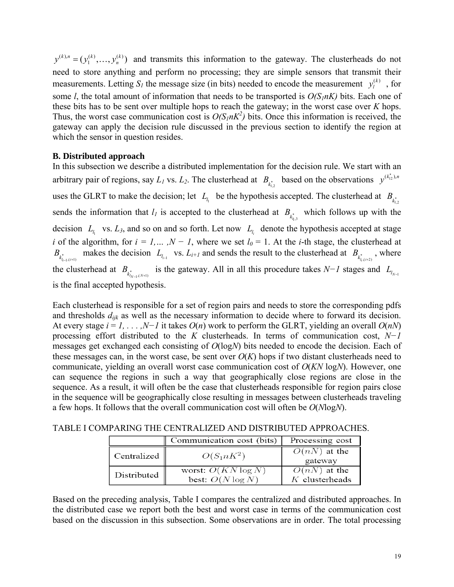$y^{(k),n} = (y_1^{(k)},..., y_n^{(k)})$  and transmits this information to the gateway. The clusterheads do not need to store anything and perform no processing; they are simple sensors that transmit their measurements. Letting  $S_l$  the message size (in bits) needed to encode the measurement  $y_l^{(k)}$ , for some *l*, the total amount of information that needs to be transported is  $O(S_1 nK)$  bits. Each one of these bits has to be sent over multiple hops to reach the gateway; in the worst case over *K* hops. Thus, the worst case communication cost is  $O(S_1 nK^2)$  bits. Once this information is received, the gateway can apply the decision rule discussed in the previous section to identify the region at which the sensor in question resides.

## **B. Distributed approach**

In this subsection we describe a distributed implementation for the decision rule. We start with an arbitrary pair of regions, say  $L_1$  vs.  $L_2$ . The clusterhead at  $B_{k_{1,2}^*}$  based on the observations  $y^{(k_{12}^*)^n}$ uses the GLRT to make the decision; let  $L_l$  be the hypothesis accepted. The clusterhead at  $B_{\kappa_{l,2}^*}$ sends the information that  $l_l$  is accepted to the clusterhead at  $B_{k_{n,s}^*}$  which follows up with the decision  $L_{l_1}$  vs.  $L_3$ , and so on and so forth. Let now  $L_{l_i}$  denote the hypothesis accepted at stage *i* of the algorithm, for  $i = 1,..., N - 1$ , where we set  $l_0 = 1$ . At the *i*-th stage, the clusterhead at  $B_{k_{i_{i-1},(i+1)}^*}$  makes the decision  $L_{l_{i-1}}$  vs.  $L_{i+1}$  and sends the result to the clusterhead at  $B_{k_{i,i}(i+2)}$ , where the clusterhead at  $B_{k_{N-1}(N+1)}$  is the gateway. All in all this procedure takes *N*−*1* stages and  $L_{l_{N-1}}$ is the final accepted hypothesis.

Each clusterhead is responsible for a set of region pairs and needs to store the corresponding pdfs and thresholds *dijk* as well as the necessary information to decide where to forward its decision. At every stage *i* = *1, . . . ,N−1* it takes *O*(*n*) work to perform the GLRT, yielding an overall *O*(*nN*) processing effort distributed to the *K* clusterheads. In terms of communication cost, *N−1* messages get exchanged each consisting of *O*(log*N*) bits needed to encode the decision. Each of these messages can, in the worst case, be sent over  $O(K)$  hops if two distant clusterheads need to communicate, yielding an overall worst case communication cost of *O*(*KN* log*N*). However, one can sequence the regions in such a way that geographically close regions are close in the sequence. As a result, it will often be the case that clusterheads responsible for region pairs close in the sequence will be geographically close resulting in messages between clusterheads traveling a few hops. It follows that the overall communication cost will often be *O*(*N*log*N*).

| TABLE I COMPARING THE CENTRALIZED AND DISTRIBUTED APPROACHES. |  |  |  |
|---------------------------------------------------------------|--|--|--|
|---------------------------------------------------------------|--|--|--|

|             | Communication cost (bits)                    | Processing cost                    |
|-------------|----------------------------------------------|------------------------------------|
| Centralized | $O(S_1 n K^2)$                               | $O(nN)$ at the<br>gateway          |
| Distributed | worst: $O(KN \log N)$<br>best: $O(N \log N)$ | $O(nN)$ at the<br>$K$ clusterheads |

Based on the preceding analysis, Table I compares the centralized and distributed approaches. In the distributed case we report both the best and worst case in terms of the communication cost based on the discussion in this subsection. Some observations are in order. The total processing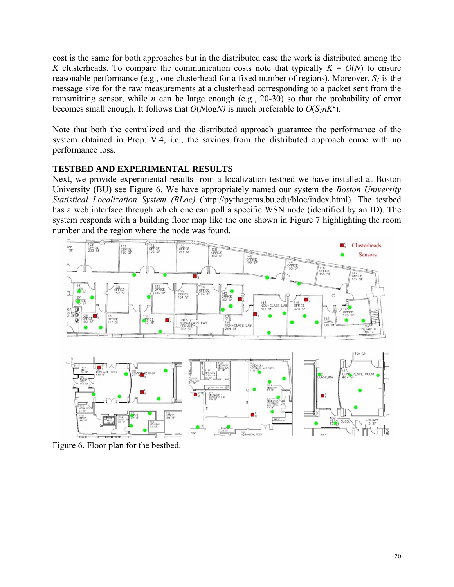cost is the same for both approaches but in the distributed case the work is distributed among the *K* clusterheads. To compare the communication costs note that typically  $K = O(N)$  to ensure reasonable performance (e.g., one clusterhead for a fixed number of regions). Moreover,  $S_l$  is the message size for the raw measurements at a clusterhead corresponding to a packet sent from the transmitting sensor, while *n* can be large enough (e.g., 20-30) so that the probability of error becomes small enough. It follows that  $O(N \log N)$  is much preferable to  $O(S_1 nK^2)$ .

Note that both the centralized and the distributed approach guarantee the performance of the system obtained in Prop. V.4, i.e., the savings from the distributed approach come with no performance loss.

# **TESTBED AND EXPERIMENTAL RESULTS**

Next, we provide experimental results from a localization testbed we have installed at Boston University (BU) see Figure 6. We have appropriately named our system the *Boston University Statistical Localization System (BLoc)* (http://pythagoras.bu.edu/bloc/index.html). The testbed has a web interface through which one can poll a specific WSN node (identified by an ID). The system responds with a building floor map like the one shown in Figure 7 highlighting the room number and the region where the node was found.



Figure 6. Floor plan for the bestbed.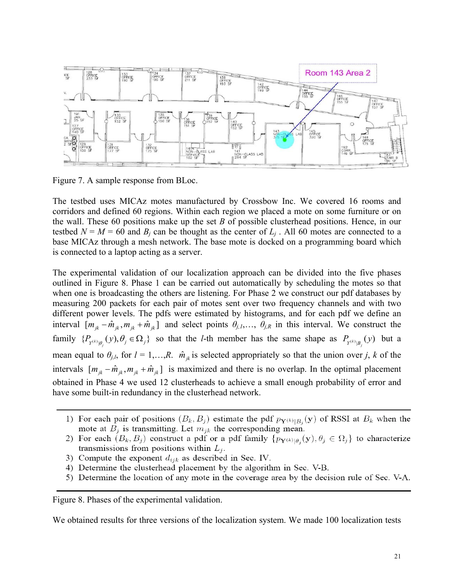

Figure 7. A sample response from BLoc.

The testbed uses MICAz motes manufactured by Crossbow Inc. We covered 16 rooms and corridors and defined 60 regions. Within each region we placed a mote on some furniture or on the wall. These 60 positions make up the set *B* of possible clusterhead positions. Hence, in our testbed  $N = M = 60$  and  $B_j$  can be thought as the center of  $L_j$ . All 60 motes are connected to a base MICAz through a mesh network. The base mote is docked on a programming board which is connected to a laptop acting as a server.

The experimental validation of our localization approach can be divided into the five phases outlined in Figure 8. Phase 1 can be carried out automatically by scheduling the motes so that when one is broadcasting the others are listening. For Phase 2 we construct our pdf databases by measuring 200 packets for each pair of motes sent over two frequency channels and with two different power levels. The pdfs were estimated by histograms, and for each pdf we define an interval  $[m_{ik} - \hat{m}_{ik}, m_{ik} + \hat{m}_{ik}]$  and select points  $\theta_{j,1}, \dots, \theta_{j,k}$  in this interval. We construct the family  $\{P_{Y^{(k)}|\theta_j}(y), \theta_j \in \Omega_j\}$  so that the *l*-th member has the same shape as  $P_{Y^{(k)}|\theta_j}(y)$  but a mean equal to  $\theta_{j,l}$ , for  $l = 1,...,R$ .  $\hat{m}_{jk}$  is selected appropriately so that the union over *j*, *k* of the intervals  $[m_{jk} - \hat{m}_{jk}, m_{jk} + \hat{m}_{jk}]$  is maximized and there is no overlap. In the optimal placement obtained in Phase 4 we used 12 clusterheads to achieve a small enough probability of error and have some built-in redundancy in the clusterhead network.

- 1) For each pair of positions  $(B_k, B_j)$  estimate the pdf  $p_{\mathbf{Y}^{(k)}|B_i}(\mathbf{y})$  of RSSI at  $B_k$  when the mote at  $B_i$  is transmitting. Let  $m_{ik}$  the corresponding mean.
- 2) For each  $(B_k, B_j)$  construct a pdf or a pdf family  $\{p_{\mathbf{Y}^{(k)}|\theta_i}(\mathbf{y}), \theta_j \in \Omega_j\}$  to characterize transmissions from positions within  $L_j$ .
- 3) Compute the exponent  $d_{ijk}$  as described in Sec. IV.
- 4) Determine the clusterhead placement by the algorithm in Sec. V-B.
- 5) Determine the location of any mote in the coverage area by the decision rule of Sec. V-A.

Figure 8. Phases of the experimental validation.

We obtained results for three versions of the localization system. We made 100 localization tests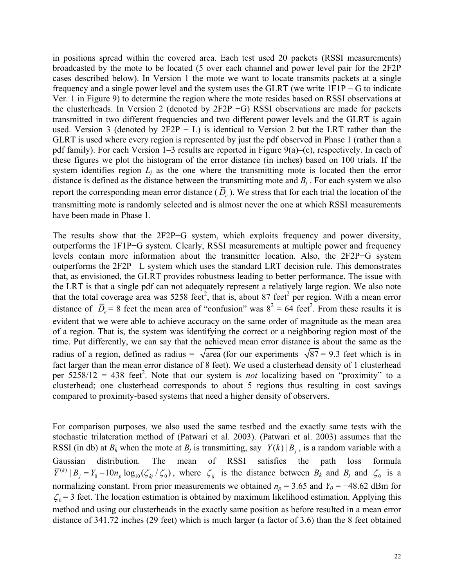in positions spread within the covered area. Each test used 20 packets (RSSI measurements) broadcasted by the mote to be located (5 over each channel and power level pair for the 2F2P cases described below). In Version 1 the mote we want to locate transmits packets at a single frequency and a single power level and the system uses the GLRT (we write 1F1P − G to indicate Ver. 1 in Figure 9) to determine the region where the mote resides based on RSSI observations at the clusterheads. In Version 2 (denoted by 2F2P −G) RSSI observations are made for packets transmitted in two different frequencies and two different power levels and the GLRT is again used. Version 3 (denoted by  $2F2P - L$ ) is identical to Version 2 but the LRT rather than the GLRT is used where every region is represented by just the pdf observed in Phase 1 (rather than a pdf family). For each Version 1–3 results are reported in Figure 9(a)–(c), respectively. In each of these figures we plot the histogram of the error distance (in inches) based on 100 trials. If the system identifies region  $L_j$  as the one where the transmitting mote is located then the error distance is defined as the distance between the transmitting mote and  $B_j$ . For each system we also report the corresponding mean error distance  $(\bar{D}_e)$ . We stress that for each trial the location of the transmitting mote is randomly selected and is almost never the one at which RSSI measurements have been made in Phase 1.

The results show that the 2F2P−G system, which exploits frequency and power diversity, outperforms the 1F1P−G system. Clearly, RSSI measurements at multiple power and frequency levels contain more information about the transmitter location. Also, the 2F2P−G system outperforms the 2F2P −L system which uses the standard LRT decision rule. This demonstrates that, as envisioned, the GLRT provides robustness leading to better performance. The issue with the LRT is that a single pdf can not adequately represent a relatively large region. We also note that the total coverage area was 5258 feet<sup>2</sup>, that is, about 87 feet<sup>2</sup> per region. With a mean error distance of  $\overline{D}_e$  = 8 feet the mean area of "confusion" was  $8^2 = 64$  feet<sup>2</sup>. From these results it is evident that we were able to achieve accuracy on the same order of magnitude as the mean area of a region. That is, the system was identifying the correct or a neighboring region most of the time. Put differently, we can say that the achieved mean error distance is about the same as the radius of a region, defined as radius =  $\sqrt{\text{area}}$  (for our experiments  $\sqrt{87}$  = 9.3 feet which is in fact larger than the mean error distance of 8 feet). We used a clusterhead density of 1 clusterhead per  $5258/12 = 438$  feet<sup>2</sup>. Note that our system is *not* localizing based on "proximity" to a clusterhead; one clusterhead corresponds to about 5 regions thus resulting in cost savings compared to proximity-based systems that need a higher density of observers.

For comparison purposes, we also used the same testbed and the exactly same tests with the stochastic trilateration method of (Patwari et al. 2003). (Patwari et al. 2003) assumes that the RSSI (in db) at  $B_k$  when the mote at  $B_j$  is transmitting, say  $Y(k) | B_j$ , is a random variable with a Gaussian distribution. The mean of RSSI satisfies the path loss formula  $\overline{Y}^{(k)} | B_j = Y_0 - 10n_p \log_{10}(\zeta_{kj}/\zeta_0)$ , where  $\zeta_{ij}$  is the distance between  $B_k$  and  $B_j$  and  $\zeta_0$  is a normalizing constant. From prior measurements we obtained  $n_p = 3.65$  and  $Y_0 = -48.62$  dBm for  $\zeta_0$  = 3 feet. The location estimation is obtained by maximum likelihood estimation. Applying this method and using our clusterheads in the exactly same position as before resulted in a mean error distance of 341.72 inches (29 feet) which is much larger (a factor of 3.6) than the 8 feet obtained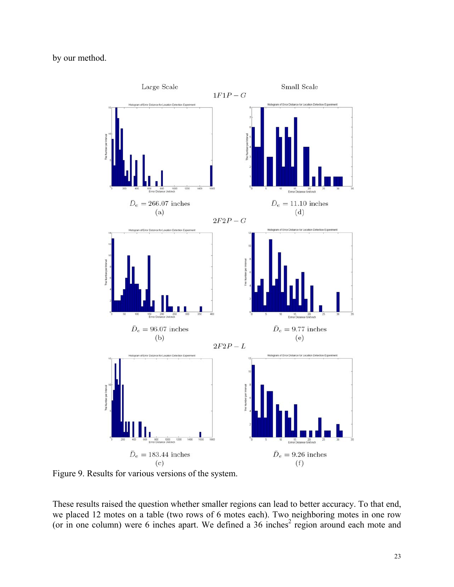by our method.



Figure 9. Results for various versions of the system.

These results raised the question whether smaller regions can lead to better accuracy. To that end, we placed 12 motes on a table (two rows of 6 motes each). Two neighboring motes in one row (or in one column) were 6 inches apart. We defined a  $36$  inches<sup>2</sup> region around each mote and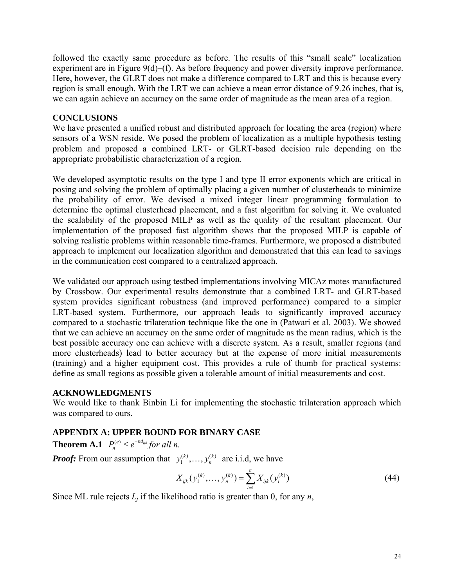followed the exactly same procedure as before. The results of this "small scale" localization experiment are in Figure 9(d)–(f). As before frequency and power diversity improve performance. Here, however, the GLRT does not make a difference compared to LRT and this is because every region is small enough. With the LRT we can achieve a mean error distance of 9.26 inches, that is, we can again achieve an accuracy on the same order of magnitude as the mean area of a region.

## **CONCLUSIONS**

We have presented a unified robust and distributed approach for locating the area (region) where sensors of a WSN reside. We posed the problem of localization as a multiple hypothesis testing problem and proposed a combined LRT- or GLRT-based decision rule depending on the appropriate probabilistic characterization of a region.

We developed asymptotic results on the type I and type II error exponents which are critical in posing and solving the problem of optimally placing a given number of clusterheads to minimize the probability of error. We devised a mixed integer linear programming formulation to determine the optimal clusterhead placement, and a fast algorithm for solving it. We evaluated the scalability of the proposed MILP as well as the quality of the resultant placement. Our implementation of the proposed fast algorithm shows that the proposed MILP is capable of solving realistic problems within reasonable time-frames. Furthermore, we proposed a distributed approach to implement our localization algorithm and demonstrated that this can lead to savings in the communication cost compared to a centralized approach.

We validated our approach using testbed implementations involving MICAz motes manufactured by Crossbow. Our experimental results demonstrate that a combined LRT- and GLRT-based system provides significant robustness (and improved performance) compared to a simpler LRT-based system. Furthermore, our approach leads to significantly improved accuracy compared to a stochastic trilateration technique like the one in (Patwari et al. 2003). We showed that we can achieve an accuracy on the same order of magnitude as the mean radius, which is the best possible accuracy one can achieve with a discrete system. As a result, smaller regions (and more clusterheads) lead to better accuracy but at the expense of more initial measurements (training) and a higher equipment cost. This provides a rule of thumb for practical systems: define as small regions as possible given a tolerable amount of initial measurements and cost.

## **ACKNOWLEDGMENTS**

We would like to thank Binbin Li for implementing the stochastic trilateration approach which was compared to ours.

# **APPENDIX A: UPPER BOUND FOR BINARY CASE**

**Theorem A.1**  $P_n^{(e)} \leq e^{-nd_{ijk}}$  for all n.

*Proof:* From our assumption that  $y_1^{(k)}, \ldots, y_n^{(k)}$  are i.i.d, we have

$$
X_{ijk}(y_1^{(k)},\ldots,y_n^{(k)}) = \sum_{i=1}^n X_{ijk}(y_i^{(k)})
$$
\n(44)

Since ML rule rejects  $L_j$  if the likelihood ratio is greater than 0, for any  $n$ ,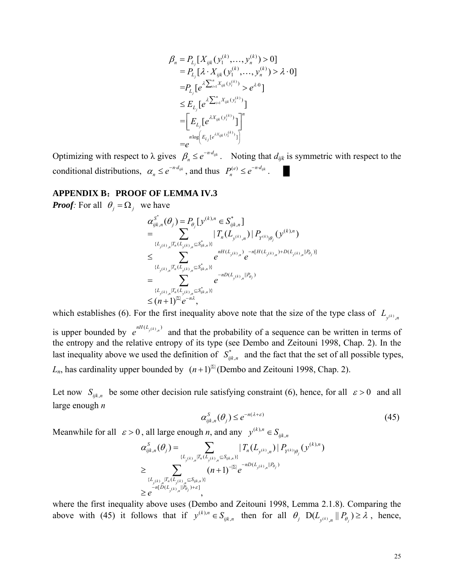$$
\beta_{n} = P_{L_{j}}[X_{ijk}(y_{1}^{(k)},...,y_{n}^{(k)}) > 0]
$$
\n
$$
= P_{L_{j}}[\lambda \cdot X_{ijk}(y_{1}^{(k)},...,y_{n}^{(k)}) > \lambda \cdot 0]
$$
\n
$$
= P_{L_{j}}[e^{\lambda \sum_{i=1}^{n} X_{ijk}(y_{i}^{(k)})} > e^{\lambda \cdot 0}]
$$
\n
$$
\leq E_{L_{j}}[e^{\lambda \sum_{i=1}^{n} X_{ijk}(y_{i}^{(k)})}]
$$
\n
$$
= \left[E_{L_{j}}[e^{\lambda X_{ijk}(y_{i}^{(k)})}] \right]^{n}
$$
\n
$$
= e^{\lambda \cdot x_{ijk}(y_{i}^{(k)})}]
$$

Optimizing with respect to  $\lambda$  gives  $\beta_n \leq e^{-n \cdot d_{ijk}}$ . Noting that  $d_{ijk}$  is symmetric with respect to the conditional distributions,  $\alpha_n \leq e^{-n \cdot d_{ijk}}$ , and thus  $P_n^{(e)} \leq e^{-n \cdot d_{ijk}}$ .

#### **APPENDIX B**:**PROOF OF LEMMA IV.3**

*Proof:* For all  $\theta_i = \Omega_i$  we have

$$
\alpha_{ijk,n}^{S^*}(\theta_j) = P_{\theta_j}[y^{(k),n} \in S_{ijk,n}^*]
$$
\n
$$
= \sum_{\{L_{y^{(k)},n}\mid T_n(L_{y^{(k)},n} \leq S_{ijk,n}^*)\}} |T_n(L_{y^{(k)},n})| P_{Y^{(k)}|\theta_j}(y^{(k),n})
$$
\n
$$
\leq \sum_{\{L_{y^{(k)},n}\mid T_n(L_{y^{(k)},n} \leq S_{ijk,n}^*)\}} e^{nH(L_{y^{(k)},n})} e^{-n[H(L_{y^{(k)},n})+D(L_{y^{(k)},n}||P_{\theta_j})]}
$$
\n
$$
= \sum_{\{L_{y^{(k)},n}\mid T_n(L_{y^{(k)},n} \leq S_{ijk,n}^*)\}} e^{-nD(L_{y^{(k)},n}||P_{\theta_j})}
$$
\n
$$
\leq (n+1)^{|\Sigma|} e^{-n\lambda},
$$

which establishes (6). For the first inequality above note that the size of the type class of  $L_{y^{(k)}, n}$ is upper bounded by  $e^{nH(L_{y(k),n})}$  and that the probability of a sequence can be written in terms of the entropy and the relative entropy of its type (see Dembo and Zeitouni 1998, Chap. 2). In the last inequality above we used the definition of  $S_{ijk,n}^*$  and the fact that the set of all possible types, *L<sub>n</sub>*, has cardinality upper bounded by  $(n+1)^{|\mathbb{Z}|}$  (Dembo and Zeitouni 1998, Chap. 2).

Let now  $S_{ijk,n}$  be some other decision rule satisfying constraint (6), hence, for all  $\varepsilon > 0$  and all large enough *n* 

$$
\alpha_{ijk,n}^S(\theta_j) \le e^{-n(\lambda + \varepsilon)}\tag{45}
$$

Meanwhile for all  $\varepsilon > 0$ , all large enough *n*, and any  $y^{(k), n} \in S_{ijk}$ ,  $y^{(k),n} \in S_{ijk,n}$ 

$$
\alpha_{ijk,n}^{S}(\theta_{j}) = \sum_{\{L_{y^{(k)},n}|T_{n}(L_{y^{(k)},n} \subseteq S_{ijk,n}\}\atop{>}\geq} |T_{n}(L_{y^{(k)},n})| P_{Y^{(k)}|\theta_{j}}(y^{(k),n})
$$
\n
$$
\geq \sum_{\{L_{y^{(k)},n}|T_{n}(L_{y^{(k)},n} \subseteq S_{ijk,n}\}\atop{-n[D(L_{y^{(k)},n}|P_{\theta_{j}})+\epsilon]} \atop {=n[D(L_{y^{(k)},n}|P_{\theta_{j}})+\epsilon]}},
$$

where the first inequality above uses (Dembo and Zeitouni 1998, Lemma 2.1.8). Comparing the above with (45) it follows that if  $y^{(k),n} \in S_{ijk}$ ,  $y^{(k),n} \in S_{ijk,n}$  then for all  $\theta_j$   $D(L_{y^{(k)},n} || P_{\theta_j}) \ge \lambda$ , hence,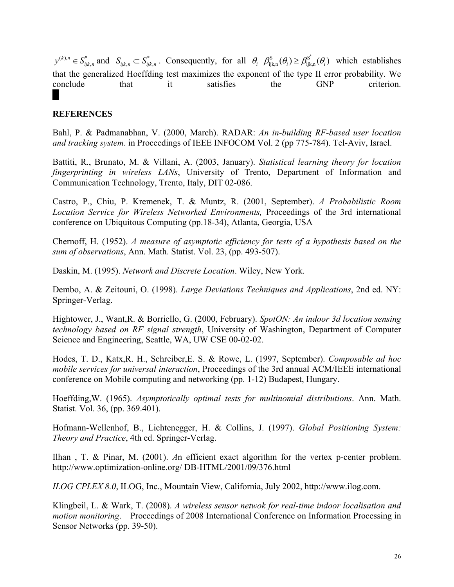$(k), n \in \mathbb{C}^*$ ,  $y^{(k),n} \in S_{ijk,n}^*$  and  $S_{ijk,n} \subset S_{ijk,n}^*$ . Consequently, for all  $\theta_i$   $\beta_{ijk,n}^s(\theta_i) \geq \beta_{ijk,n}^{s^*}(\theta_i)$  which establishes that the generalized Hoeffding test maximizes the exponent of the type II error probability. We conclude that it satisfies the GNP criterion.

## **REFERENCES**

Bahl, P. & Padmanabhan, V. (2000, March). RADAR: *An in-building RF-based user location and tracking system*. in Proceedings of IEEE INFOCOM Vol. 2 (pp 775-784). Tel-Aviv, Israel.

Battiti, R., Brunato, M. & Villani, A. (2003, January). *Statistical learning theory for location fingerprinting in wireless LANs*, University of Trento, Department of Information and Communication Technology, Trento, Italy, DIT 02-086.

Castro, P., Chiu, P. Kremenek, T. & Muntz, R. (2001, September). *A Probabilistic Room Location Service for Wireless Networked Environments,* Proceedings of the 3rd international conference on Ubiquitous Computing (pp.18-34), Atlanta, Georgia, USA

Chernoff, H. (1952). *A measure of asymptotic efficiency for tests of a hypothesis based on the sum of observations*, Ann. Math. Statist. Vol. 23, (pp. 493-507).

Daskin, M. (1995). *Network and Discrete Location*. Wiley, New York.

Dembo, A. & Zeitouni, O. (1998). *Large Deviations Techniques and Applications*, 2nd ed. NY: Springer-Verlag.

Hightower, J., Want,R. & Borriello, G. (2000, February). *SpotON: An indoor 3d location sensing technology based on RF signal strength*, University of Washington, Department of Computer Science and Engineering, Seattle, WA, UW CSE 00-02-02.

Hodes, T. D., Katx,R. H., Schreiber,E. S. & Rowe, L. (1997, September). *Composable ad hoc mobile services for universal interaction*, Proceedings of the 3rd annual ACM/IEEE international conference on Mobile computing and networking (pp. 1-12) Budapest, Hungary.

Hoeffding,W. (1965). *Asymptotically optimal tests for multinomial distributions*. Ann. Math. Statist. Vol. 36, (pp. 369.401).

Hofmann-Wellenhof, B., Lichtenegger, H. & Collins, J. (1997). *Global Positioning System: Theory and Practice*, 4th ed. Springer-Verlag.

Ilhan , T. & Pinar, M. (2001). *A*n efficient exact algorithm for the vertex p-center problem. http://www.optimization-online.org/ DB-HTML/2001/09/376.html

*ILOG CPLEX 8.0*, ILOG, Inc., Mountain View, California, July 2002, http://www.ilog.com.

Klingbeil, L. & Wark, T. (2008). *A wireless sensor netwok for real-time indoor localisation and motion monitoring*. Proceedings of 2008 International Conference on Information Processing in Sensor Networks (pp. 39-50).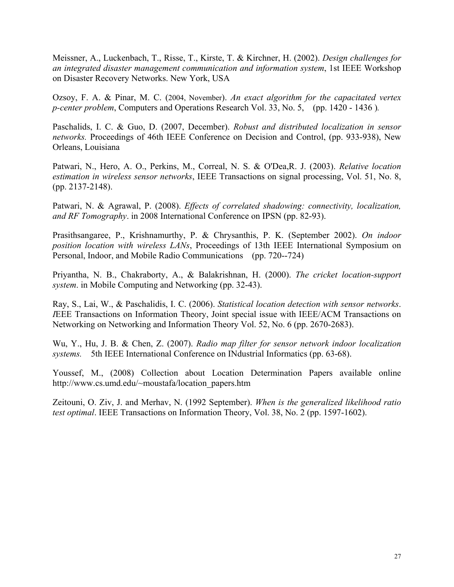Meissner, A., Luckenbach, T., Risse, T., Kirste, T. & Kirchner, H. (2002). *Design challenges for an integrated disaster management communication and information system*, 1st IEEE Workshop on Disaster Recovery Networks. New York, USA

Ozsoy, F. A. & Pinar, M. C. (2004, November). *An exact algorithm for the capacitated vertex p-center problem*, Computers and Operations Research Vol. 33, No. 5, (pp. 1420 - 1436 )*.*

Paschalids, I. C. & Guo, D. (2007, December). *Robust and distributed localization in sensor networks.* Proceedings of 46th IEEE Conference on Decision and Control, (pp. 933-938), New Orleans, Louisiana

Patwari, N., Hero, A. O., Perkins, M., Correal, N. S. & O'Dea,R. J. (2003). *Relative location estimation in wireless sensor networks*, IEEE Transactions on signal processing, Vol. 51, No. 8, (pp. 2137-2148).

Patwari, N. & Agrawal, P. (2008). *Effects of correlated shadowing: connectivity, localization, and RF Tomography*. in 2008 International Conference on IPSN (pp. 82-93).

Prasithsangaree, P., Krishnamurthy, P. & Chrysanthis, P. K. (September 2002). *On indoor position location with wireless LANs*, Proceedings of 13th IEEE International Symposium on Personal, Indoor, and Mobile Radio Communications (pp. 720--724)

Priyantha, N. B., Chakraborty, A., & Balakrishnan, H. (2000). *The cricket location-support system*. in Mobile Computing and Networkin*g* (pp. 32-43).

Ray, S., Lai, W., & Paschalidis, I. C. (2006). *Statistical location detection with sensor networks*. *I*EEE Transactions on Information Theory, Joint special issue with IEEE/ACM Transactions on Networking on Networking and Information Theory Vol. 52, No. 6 (pp. 2670-2683).

Wu, Y., Hu, J. B. & Chen, Z. (2007). *Radio map filter for sensor network indoor localization systems.* 5th IEEE International Conference on INdustrial Informatics (pp. 63-68).

Youssef, M., (2008) Collection about Location Determination Papers available online http://www.cs.umd.edu/~moustafa/location\_papers.htm

Zeitouni, O. Ziv, J. and Merhav, N. (1992 September). *When is the generalized likelihood ratio test optimal*. IEEE Transactions on Information Theory, Vol. 38, No. 2 (pp. 1597-1602).